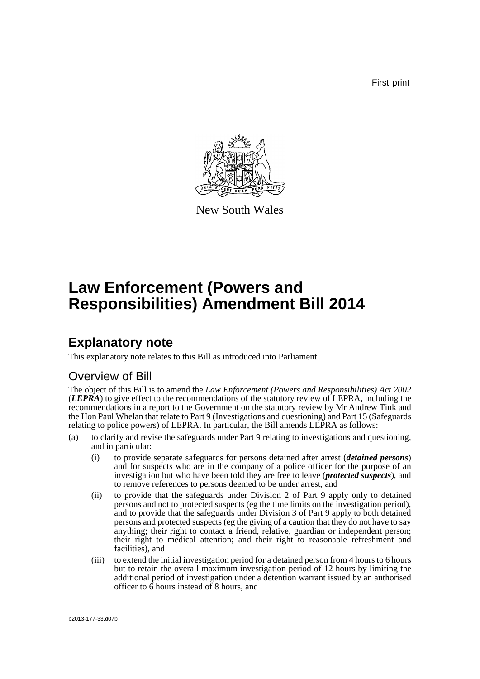First print



New South Wales

# **Law Enforcement (Powers and Responsibilities) Amendment Bill 2014**

## **Explanatory note**

This explanatory note relates to this Bill as introduced into Parliament.

## Overview of Bill

The object of this Bill is to amend the *Law Enforcement (Powers and Responsibilities) Act 2002* (*LEPRA*) to give effect to the recommendations of the statutory review of LEPRA, including the recommendations in a report to the Government on the statutory review by Mr Andrew Tink and the Hon Paul Whelan that relate to Part 9 (Investigations and questioning) and Part 15 (Safeguards relating to police powers) of LEPRA. In particular, the Bill amends LEPRA as follows:

- (a) to clarify and revise the safeguards under Part 9 relating to investigations and questioning, and in particular:
	- (i) to provide separate safeguards for persons detained after arrest (*detained persons*) and for suspects who are in the company of a police officer for the purpose of an investigation but who have been told they are free to leave (*protected suspects*), and to remove references to persons deemed to be under arrest, and
	- (ii) to provide that the safeguards under Division 2 of Part 9 apply only to detained persons and not to protected suspects (eg the time limits on the investigation period), and to provide that the safeguards under Division 3 of Part 9 apply to both detained persons and protected suspects (eg the giving of a caution that they do not have to say anything; their right to contact a friend, relative, guardian or independent person; their right to medical attention; and their right to reasonable refreshment and facilities), and
	- (iii) to extend the initial investigation period for a detained person from 4 hours to 6 hours but to retain the overall maximum investigation period of 12 hours by limiting the additional period of investigation under a detention warrant issued by an authorised officer to  $\vec{6}$  hours instead of 8 hours, and

b2013-177-33.d07b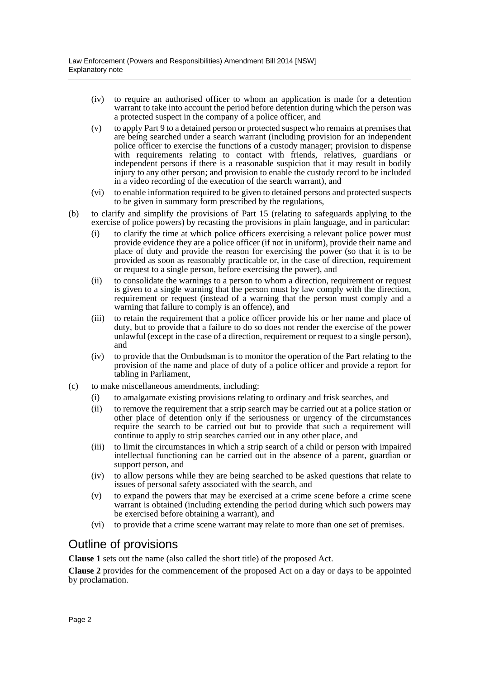- (iv) to require an authorised officer to whom an application is made for a detention warrant to take into account the period before detention during which the person was a protected suspect in the company of a police officer, and
- (v) to apply Part 9 to a detained person or protected suspect who remains at premises that are being searched under a search warrant (including provision for an independent police officer to exercise the functions of a custody manager; provision to dispense with requirements relating to contact with friends, relatives, guardians or independent persons if there is a reasonable suspicion that it may result in bodily injury to any other person; and provision to enable the custody record to be included in a video recording of the execution of the search warrant), and
- (vi) to enable information required to be given to detained persons and protected suspects to be given in summary form prescribed by the regulations,
- (b) to clarify and simplify the provisions of Part 15 (relating to safeguards applying to the exercise of police powers) by recasting the provisions in plain language, and in particular:
	- (i) to clarify the time at which police officers exercising a relevant police power must provide evidence they are a police officer (if not in uniform), provide their name and place of duty and provide the reason for exercising the power (so that it is to be provided as soon as reasonably practicable or, in the case of direction, requirement or request to a single person, before exercising the power), and
	- (ii) to consolidate the warnings to a person to whom a direction, requirement or request is given to a single warning that the person must by law comply with the direction, requirement or request (instead of a warning that the person must comply and a warning that failure to comply is an offence), and
	- (iii) to retain the requirement that a police officer provide his or her name and place of duty, but to provide that a failure to do so does not render the exercise of the power unlawful (except in the case of a direction, requirement or request to a single person), and
	- (iv) to provide that the Ombudsman is to monitor the operation of the Part relating to the provision of the name and place of duty of a police officer and provide a report for tabling in Parliament,
- (c) to make miscellaneous amendments, including:
	- (i) to amalgamate existing provisions relating to ordinary and frisk searches, and
	- (ii) to remove the requirement that a strip search may be carried out at a police station or other place of detention only if the seriousness or urgency of the circumstances require the search to be carried out but to provide that such a requirement will continue to apply to strip searches carried out in any other place, and
	- (iii) to limit the circumstances in which a strip search of a child or person with impaired intellectual functioning can be carried out in the absence of a parent, guardian or support person, and
	- (iv) to allow persons while they are being searched to be asked questions that relate to issues of personal safety associated with the search, and
	- (v) to expand the powers that may be exercised at a crime scene before a crime scene warrant is obtained (including extending the period during which such powers may be exercised before obtaining a warrant), and
	- (vi) to provide that a crime scene warrant may relate to more than one set of premises.

## Outline of provisions

**Clause 1** sets out the name (also called the short title) of the proposed Act.

**Clause 2** provides for the commencement of the proposed Act on a day or days to be appointed by proclamation.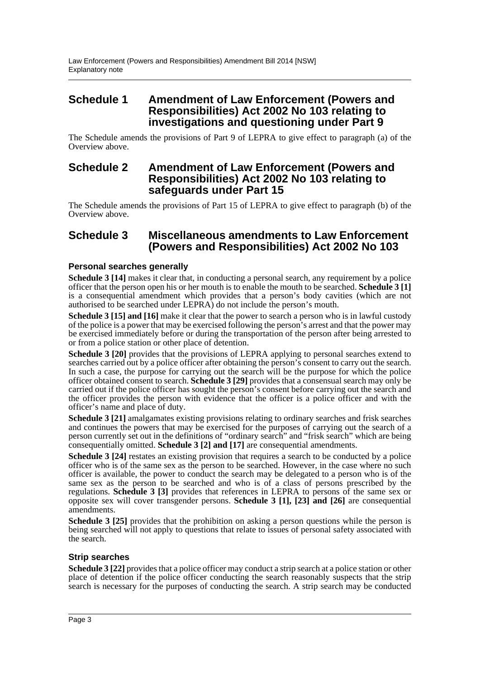### **Schedule 1 Amendment of Law Enforcement (Powers and Responsibilities) Act 2002 No 103 relating to investigations and questioning under Part 9**

The Schedule amends the provisions of Part 9 of LEPRA to give effect to paragraph (a) of the Overview above.

### **Schedule 2 Amendment of Law Enforcement (Powers and Responsibilities) Act 2002 No 103 relating to safeguards under Part 15**

The Schedule amends the provisions of Part 15 of LEPRA to give effect to paragraph (b) of the Overview above.

### **Schedule 3 Miscellaneous amendments to Law Enforcement (Powers and Responsibilities) Act 2002 No 103**

#### **Personal searches generally**

**Schedule 3 [14]** makes it clear that, in conducting a personal search, any requirement by a police officer that the person open his or her mouth is to enable the mouth to be searched. **Schedule 3 [1]** is a consequential amendment which provides that a person's body cavities (which are not authorised to be searched under LEPRA) do not include the person's mouth.

**Schedule 3 [15] and [16]** make it clear that the power to search a person who is in lawful custody of the police is a power that may be exercised following the person's arrest and that the power may be exercised immediately before or during the transportation of the person after being arrested to or from a police station or other place of detention.

**Schedule 3 [20]** provides that the provisions of LEPRA applying to personal searches extend to searches carried out by a police officer after obtaining the person's consent to carry out the search. In such a case, the purpose for carrying out the search will be the purpose for which the police officer obtained consent to search. **Schedule 3 [29]** provides that a consensual search may only be carried out if the police officer has sought the person's consent before carrying out the search and the officer provides the person with evidence that the officer is a police officer and with the officer's name and place of duty.

**Schedule 3 [21]** amalgamates existing provisions relating to ordinary searches and frisk searches and continues the powers that may be exercised for the purposes of carrying out the search of a person currently set out in the definitions of "ordinary search" and "frisk search" which are being consequentially omitted. **Schedule 3 [2] and [17]** are consequential amendments.

**Schedule 3 [24]** restates an existing provision that requires a search to be conducted by a police officer who is of the same sex as the person to be searched. However, in the case where no such officer is available, the power to conduct the search may be delegated to a person who is of the same sex as the person to be searched and who is of a class of persons prescribed by the regulations. **Schedule 3 [3]** provides that references in LEPRA to persons of the same sex or opposite sex will cover transgender persons. **Schedule 3 [1], [23] and [26]** are consequential amendments.

**Schedule 3 [25]** provides that the prohibition on asking a person questions while the person is being searched will not apply to questions that relate to issues of personal safety associated with the search.

#### **Strip searches**

**Schedule 3 [22]** provides that a police officer may conduct a strip search at a police station or other place of detention if the police officer conducting the search reasonably suspects that the strip search is necessary for the purposes of conducting the search. A strip search may be conducted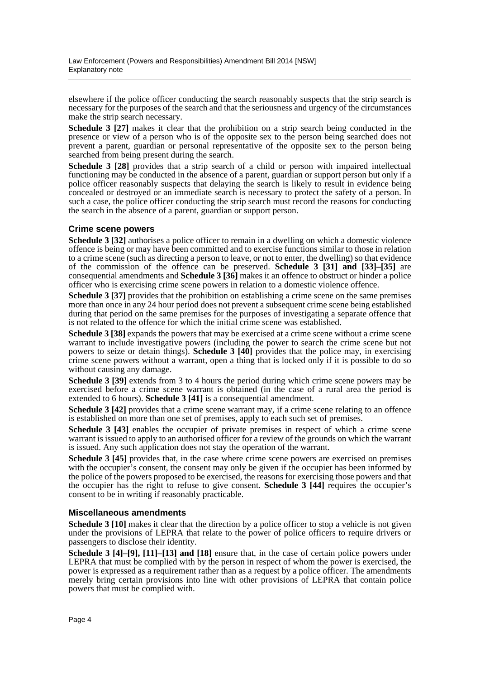elsewhere if the police officer conducting the search reasonably suspects that the strip search is necessary for the purposes of the search and that the seriousness and urgency of the circumstances make the strip search necessary.

**Schedule 3 [27]** makes it clear that the prohibition on a strip search being conducted in the presence or view of a person who is of the opposite sex to the person being searched does not prevent a parent, guardian or personal representative of the opposite sex to the person being searched from being present during the search.

**Schedule 3 [28]** provides that a strip search of a child or person with impaired intellectual functioning may be conducted in the absence of a parent, guardian or support person but only if a police officer reasonably suspects that delaying the search is likely to result in evidence being concealed or destroyed or an immediate search is necessary to protect the safety of a person. In such a case, the police officer conducting the strip search must record the reasons for conducting the search in the absence of a parent, guardian or support person.

#### **Crime scene powers**

**Schedule 3 [32]** authorises a police officer to remain in a dwelling on which a domestic violence offence is being or may have been committed and to exercise functions similar to those in relation to a crime scene (such as directing a person to leave, or not to enter, the dwelling) so that evidence of the commission of the offence can be preserved. **Schedule 3 [31] and [33]–[35]** are consequential amendments and **Schedule 3 [36]** makes it an offence to obstruct or hinder a police officer who is exercising crime scene powers in relation to a domestic violence offence.

**Schedule 3 [37]** provides that the prohibition on establishing a crime scene on the same premises more than once in any 24 hour period does not prevent a subsequent crime scene being established during that period on the same premises for the purposes of investigating a separate offence that is not related to the offence for which the initial crime scene was established.

**Schedule 3 [38]** expands the powers that may be exercised at a crime scene without a crime scene warrant to include investigative powers (including the power to search the crime scene but not powers to seize or detain things). **Schedule 3 [40]** provides that the police may, in exercising crime scene powers without a warrant, open a thing that is locked only if it is possible to do so without causing any damage.

**Schedule 3 [39]** extends from 3 to 4 hours the period during which crime scene powers may be exercised before a crime scene warrant is obtained (in the case of a rural area the period is extended to 6 hours). **Schedule 3 [41]** is a consequential amendment.

**Schedule 3 [42]** provides that a crime scene warrant may, if a crime scene relating to an offence is established on more than one set of premises, apply to each such set of premises.

**Schedule 3 [43]** enables the occupier of private premises in respect of which a crime scene warrant is issued to apply to an authorised officer for a review of the grounds on which the warrant is issued. Any such application does not stay the operation of the warrant.

**Schedule 3 [45]** provides that, in the case where crime scene powers are exercised on premises with the occupier's consent, the consent may only be given if the occupier has been informed by the police of the powers proposed to be exercised, the reasons for exercising those powers and that the occupier has the right to refuse to give consent. **Schedule 3 [44]** requires the occupier's consent to be in writing if reasonably practicable.

#### **Miscellaneous amendments**

**Schedule 3 [10]** makes it clear that the direction by a police officer to stop a vehicle is not given under the provisions of LEPRA that relate to the power of police officers to require drivers or passengers to disclose their identity.

**Schedule 3 [4]–[9], [11]–[13] and [18]** ensure that, in the case of certain police powers under LEPRA that must be complied with by the person in respect of whom the power is exercised, the power is expressed as a requirement rather than as a request by a police officer. The amendments merely bring certain provisions into line with other provisions of LEPRA that contain police powers that must be complied with.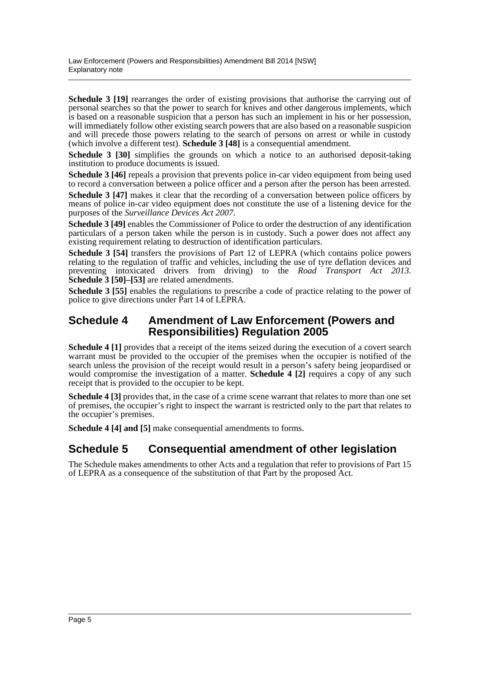**Schedule 3 [19]** rearranges the order of existing provisions that authorise the carrying out of personal searches so that the power to search for knives and other dangerous implements, which is based on a reasonable suspicion that a person has such an implement in his or her possession, will immediately follow other existing search powers that are also based on a reasonable suspicion and will precede those powers relating to the search of persons on arrest or while in custody (which involve a different test). **Schedule 3 [48]** is a consequential amendment.

**Schedule 3 [30]** simplifies the grounds on which a notice to an authorised deposit-taking institution to produce documents is issued.

**Schedule 3 [46]** repeals a provision that prevents police in-car video equipment from being used to record a conversation between a police officer and a person after the person has been arrested.

**Schedule 3 [47]** makes it clear that the recording of a conversation between police officers by means of police in-car video equipment does not constitute the use of a listening device for the purposes of the *Surveillance Devices Act 2007*.

**Schedule 3 [49]** enables the Commissioner of Police to order the destruction of any identification particulars of a person taken while the person is in custody. Such a power does not affect any existing requirement relating to destruction of identification particulars.

**Schedule 3 [54]** transfers the provisions of Part 12 of LEPRA (which contains police powers relating to the regulation of traffic and vehicles, including the use of tyre deflation devices and preventing intoxicated drivers from driving) to the *Road Transport Act 2013*. **Schedule 3** [50]–[53] are related amendments.

**Schedule 3 [55]** enables the regulations to prescribe a code of practice relating to the power of police to give directions under Part 14 of LEPRA.

### **Schedule 4 Amendment of Law Enforcement (Powers and Responsibilities) Regulation 2005**

**Schedule 4 [1]** provides that a receipt of the items seized during the execution of a covert search warrant must be provided to the occupier of the premises when the occupier is notified of the search unless the provision of the receipt would result in a person's safety being jeopardised or would compromise the investigation of a matter. **Schedule 4 [2]** requires a copy of any such receipt that is provided to the occupier to be kept.

**Schedule 4** [3] provides that, in the case of a crime scene warrant that relates to more than one set of premises, the occupier's right to inspect the warrant is restricted only to the part that relates to the occupier's premises.

**Schedule 4 [4] and [5]** make consequential amendments to forms.

## **Schedule 5 Consequential amendment of other legislation**

The Schedule makes amendments to other Acts and a regulation that refer to provisions of Part 15 of LEPRA as a consequence of the substitution of that Part by the proposed Act.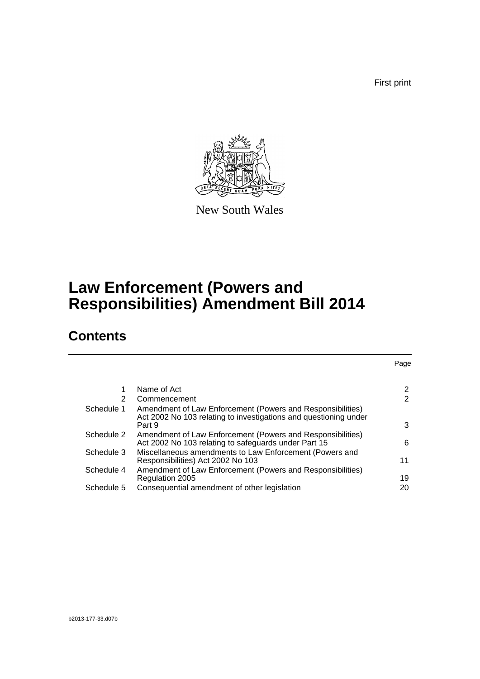First print

Page



New South Wales

## **Law Enforcement (Powers and Responsibilities) Amendment Bill 2014**

## **Contents**

|            | Name of Act                                                                                                                    | 2              |
|------------|--------------------------------------------------------------------------------------------------------------------------------|----------------|
| 2          | Commencement                                                                                                                   | $\overline{2}$ |
| Schedule 1 | Amendment of Law Enforcement (Powers and Responsibilities)<br>Act 2002 No 103 relating to investigations and questioning under |                |
|            | Part 9                                                                                                                         | 3              |
| Schedule 2 | Amendment of Law Enforcement (Powers and Responsibilities)<br>Act 2002 No 103 relating to safeguards under Part 15             | 6              |
| Schedule 3 | Miscellaneous amendments to Law Enforcement (Powers and<br>Responsibilities) Act 2002 No 103                                   | 11             |
| Schedule 4 | Amendment of Law Enforcement (Powers and Responsibilities)<br>Regulation 2005                                                  | 19             |
| Schedule 5 | Consequential amendment of other legislation                                                                                   | 20             |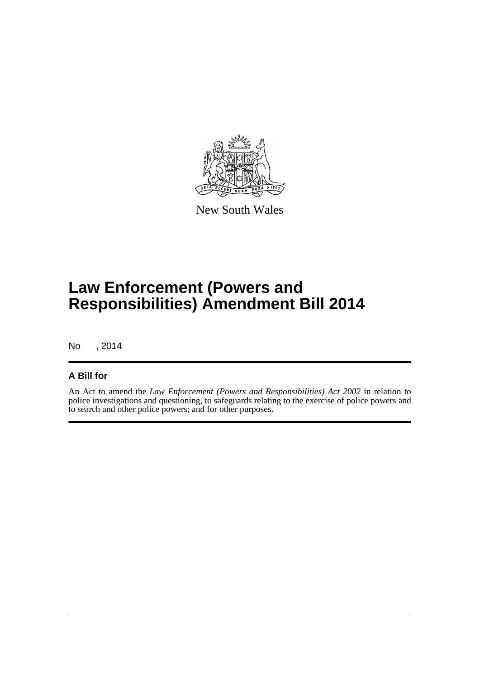

New South Wales

## **Law Enforcement (Powers and Responsibilities) Amendment Bill 2014**

No , 2014

#### **A Bill for**

An Act to amend the *Law Enforcement (Powers and Responsibilities) Act 2002* in relation to police investigations and questioning, to safeguards relating to the exercise of police powers and to search and other police powers; and for other purposes.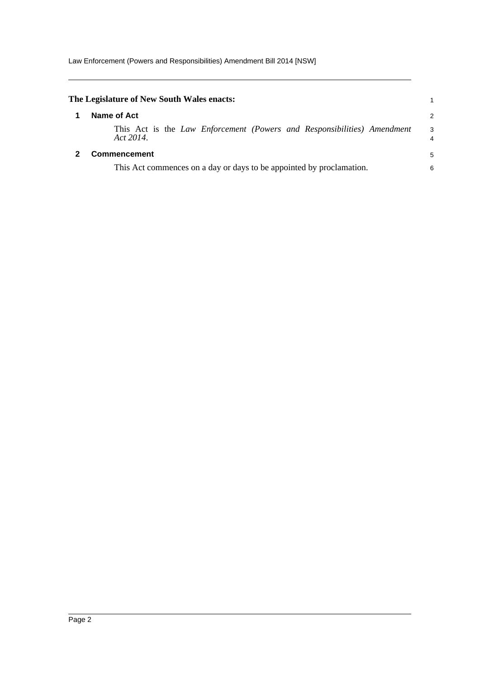<span id="page-7-1"></span><span id="page-7-0"></span>

| The Legislature of New South Wales enacts:                                           |        |
|--------------------------------------------------------------------------------------|--------|
| Name of Act                                                                          | 2      |
| This Act is the Law Enforcement (Powers and Responsibilities) Amendment<br>Act 2014. | 3<br>4 |
| <b>Commencement</b>                                                                  | 5      |
| This Act commences on a day or days to be appointed by proclamation.                 | 6      |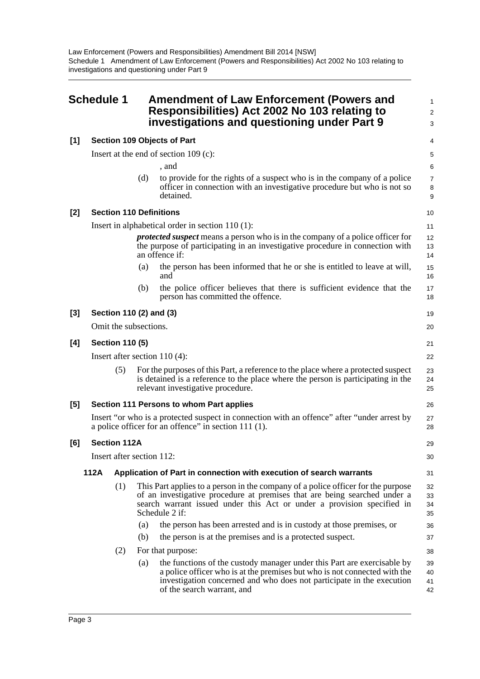Law Enforcement (Powers and Responsibilities) Amendment Bill 2014 [NSW] Schedule 1 Amendment of Law Enforcement (Powers and Responsibilities) Act 2002 No 103 relating to investigations and questioning under Part 9

<span id="page-8-0"></span>

|       | <b>Schedule 1</b> |                           |     | <b>Amendment of Law Enforcement (Powers and</b><br>Responsibilities) Act 2002 No 103 relating to<br>investigations and questioning under Part 9                                                                                                             | 1<br>$\overline{2}$<br>3 |  |  |
|-------|-------------------|---------------------------|-----|-------------------------------------------------------------------------------------------------------------------------------------------------------------------------------------------------------------------------------------------------------------|--------------------------|--|--|
| $[1]$ |                   |                           |     | <b>Section 109 Objects of Part</b>                                                                                                                                                                                                                          | 4                        |  |  |
|       |                   |                           |     | Insert at the end of section 109 (c):                                                                                                                                                                                                                       | 5                        |  |  |
|       |                   |                           |     | , and                                                                                                                                                                                                                                                       | 6                        |  |  |
|       |                   |                           | (d) | to provide for the rights of a suspect who is in the company of a police<br>officer in connection with an investigative procedure but who is not so<br>detained.                                                                                            | $\overline{7}$<br>8<br>9 |  |  |
| $[2]$ |                   |                           |     | <b>Section 110 Definitions</b>                                                                                                                                                                                                                              | 10                       |  |  |
|       |                   |                           |     | Insert in alphabetical order in section $110(1)$ :                                                                                                                                                                                                          | 11                       |  |  |
|       |                   |                           |     | <i>protected suspect</i> means a person who is in the company of a police officer for<br>the purpose of participating in an investigative procedure in connection with<br>an offence if:                                                                    | 12<br>13<br>14           |  |  |
|       |                   |                           | (a) | the person has been informed that he or she is entitled to leave at will,<br>and                                                                                                                                                                            | 15<br>16                 |  |  |
|       |                   |                           | (b) | the police officer believes that there is sufficient evidence that the<br>person has committed the offence.                                                                                                                                                 | 17<br>18                 |  |  |
| $[3]$ |                   |                           |     | Section 110 (2) and (3)                                                                                                                                                                                                                                     | 19                       |  |  |
|       |                   | Omit the subsections.     |     |                                                                                                                                                                                                                                                             | 20                       |  |  |
| [4]   |                   | <b>Section 110 (5)</b>    |     |                                                                                                                                                                                                                                                             |                          |  |  |
|       |                   |                           |     | Insert after section $110(4)$ :                                                                                                                                                                                                                             | 22                       |  |  |
|       |                   | (5)                       |     | For the purposes of this Part, a reference to the place where a protected suspect<br>is detained is a reference to the place where the person is participating in the<br>relevant investigative procedure.                                                  | 23<br>24<br>25           |  |  |
| $[5]$ |                   |                           |     | Section 111 Persons to whom Part applies                                                                                                                                                                                                                    | 26                       |  |  |
|       |                   |                           |     | Insert "or who is a protected suspect in connection with an offence" after "under arrest by<br>a police officer for an offence" in section $111(1)$ .                                                                                                       | 27<br>28                 |  |  |
| [6]   |                   | <b>Section 112A</b>       |     |                                                                                                                                                                                                                                                             | 29                       |  |  |
|       |                   | Insert after section 112: |     |                                                                                                                                                                                                                                                             | 30                       |  |  |
|       | 112A              |                           |     | Application of Part in connection with execution of search warrants                                                                                                                                                                                         | 31                       |  |  |
|       |                   | (1)                       |     | This Part applies to a person in the company of a police officer for the purpose<br>of an investigative procedure at premises that are being searched under a<br>search warrant issued under this Act or under a provision specified in<br>Schedule 2 if:   | 32<br>33<br>34<br>35     |  |  |
|       |                   |                           | (a) | the person has been arrested and is in custody at those premises, or                                                                                                                                                                                        | 36                       |  |  |
|       |                   |                           | (b) | the person is at the premises and is a protected suspect.                                                                                                                                                                                                   | 37                       |  |  |
|       |                   | (2)                       |     | For that purpose:                                                                                                                                                                                                                                           | 38                       |  |  |
|       |                   |                           | (a) | the functions of the custody manager under this Part are exercisable by<br>a police officer who is at the premises but who is not connected with the<br>investigation concerned and who does not participate in the execution<br>of the search warrant, and | 39<br>40<br>41<br>42     |  |  |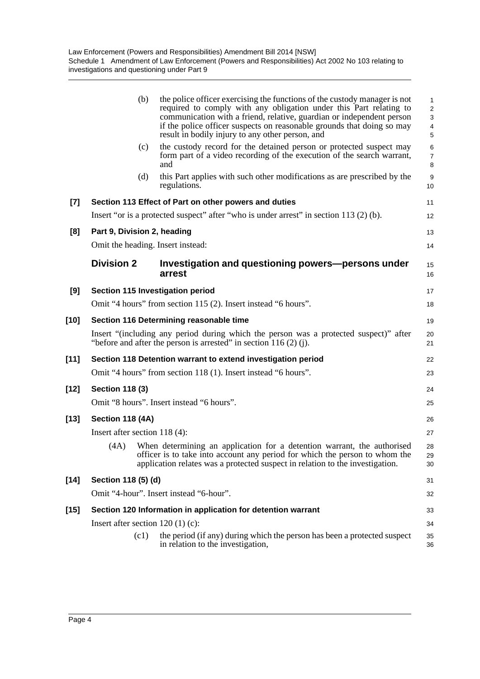| the police officer exercising the functions of the custody manager is not<br>required to comply with any obligation under this Part relating to<br>communication with a friend, relative, guardian or independent person<br>if the police officer suspects on reasonable grounds that doing so may<br>result in bodily injury to any other person, and<br>the custody record for the detained person or protected suspect may | $\mathbf{1}$<br>$\overline{2}$<br>3<br>4<br>5                          |
|-------------------------------------------------------------------------------------------------------------------------------------------------------------------------------------------------------------------------------------------------------------------------------------------------------------------------------------------------------------------------------------------------------------------------------|------------------------------------------------------------------------|
|                                                                                                                                                                                                                                                                                                                                                                                                                               |                                                                        |
|                                                                                                                                                                                                                                                                                                                                                                                                                               | 6<br>$\overline{7}$<br>8                                               |
| this Part applies with such other modifications as are prescribed by the                                                                                                                                                                                                                                                                                                                                                      | 9<br>10                                                                |
| Section 113 Effect of Part on other powers and duties                                                                                                                                                                                                                                                                                                                                                                         | 11                                                                     |
| Insert "or is a protected suspect" after "who is under arrest" in section $113$ (2) (b).                                                                                                                                                                                                                                                                                                                                      | 12                                                                     |
|                                                                                                                                                                                                                                                                                                                                                                                                                               | 13                                                                     |
|                                                                                                                                                                                                                                                                                                                                                                                                                               | 14                                                                     |
| Investigation and questioning powers—persons under                                                                                                                                                                                                                                                                                                                                                                            | 15<br>16                                                               |
|                                                                                                                                                                                                                                                                                                                                                                                                                               | 17                                                                     |
| Omit "4 hours" from section 115 (2). Insert instead "6 hours".                                                                                                                                                                                                                                                                                                                                                                | 18                                                                     |
| Section 116 Determining reasonable time                                                                                                                                                                                                                                                                                                                                                                                       | 19                                                                     |
| Insert "(including any period during which the person was a protected suspect)" after<br>"before and after the person is arrested" in section $116(2)$ (j).                                                                                                                                                                                                                                                                   | 20<br>21                                                               |
| Section 118 Detention warrant to extend investigation period                                                                                                                                                                                                                                                                                                                                                                  | 22                                                                     |
| Omit "4 hours" from section 118 (1). Insert instead "6 hours".                                                                                                                                                                                                                                                                                                                                                                | 23                                                                     |
|                                                                                                                                                                                                                                                                                                                                                                                                                               | 24                                                                     |
|                                                                                                                                                                                                                                                                                                                                                                                                                               | 25                                                                     |
|                                                                                                                                                                                                                                                                                                                                                                                                                               | 26                                                                     |
|                                                                                                                                                                                                                                                                                                                                                                                                                               | 27                                                                     |
| When determining an application for a detention warrant, the authorised<br>officer is to take into account any period for which the person to whom the<br>application relates was a protected suspect in relation to the investigation.                                                                                                                                                                                       | 28<br>29<br>30                                                         |
|                                                                                                                                                                                                                                                                                                                                                                                                                               | 31                                                                     |
|                                                                                                                                                                                                                                                                                                                                                                                                                               | 32                                                                     |
| Section 120 Information in application for detention warrant                                                                                                                                                                                                                                                                                                                                                                  | 33                                                                     |
|                                                                                                                                                                                                                                                                                                                                                                                                                               | 34                                                                     |
| the period (if any) during which the person has been a protected suspect<br>in relation to the investigation,                                                                                                                                                                                                                                                                                                                 | 35<br>36                                                               |
|                                                                                                                                                                                                                                                                                                                                                                                                                               | form part of a video recording of the execution of the search warrant, |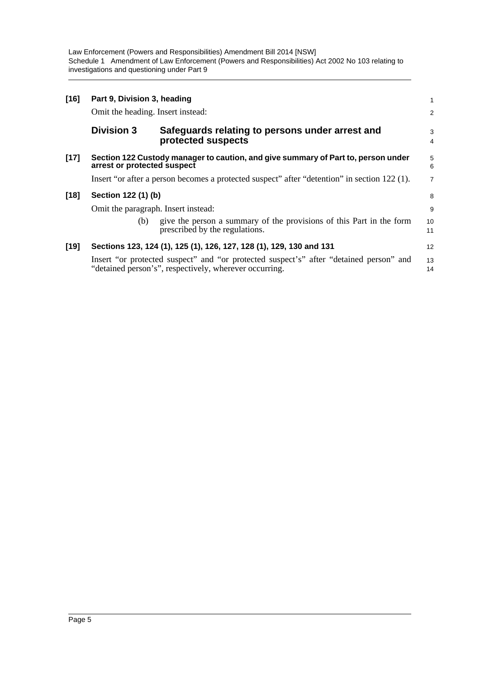Law Enforcement (Powers and Responsibilities) Amendment Bill 2014 [NSW] Schedule 1 Amendment of Law Enforcement (Powers and Responsibilities) Act 2002 No 103 relating to investigations and questioning under Part 9

| $[16]$ | Part 9, Division 3, heading                                                                                      |                                                                                                                                                  |                |  |  |
|--------|------------------------------------------------------------------------------------------------------------------|--------------------------------------------------------------------------------------------------------------------------------------------------|----------------|--|--|
|        | Omit the heading. Insert instead:                                                                                |                                                                                                                                                  | $\overline{2}$ |  |  |
|        | <b>Division 3</b>                                                                                                | Safeguards relating to persons under arrest and<br>protected suspects                                                                            | 3<br>4         |  |  |
| $[17]$ | Section 122 Custody manager to caution, and give summary of Part to, person under<br>arrest or protected suspect |                                                                                                                                                  |                |  |  |
|        |                                                                                                                  | Insert "or after a person becomes a protected suspect" after "detention" in section 122 (1).                                                     | $\overline{7}$ |  |  |
| $[18]$ | Section 122 (1) (b)                                                                                              |                                                                                                                                                  | 8              |  |  |
|        | Omit the paragraph. Insert instead:                                                                              |                                                                                                                                                  | 9              |  |  |
|        | (b)                                                                                                              | give the person a summary of the provisions of this Part in the form<br>prescribed by the regulations.                                           | 10<br>11       |  |  |
| $[19]$ |                                                                                                                  | Sections 123, 124 (1), 125 (1), 126, 127, 128 (1), 129, 130 and 131                                                                              | 12             |  |  |
|        |                                                                                                                  | Insert "or protected suspect" and "or protected suspect's" after "detained person" and<br>"detained person's", respectively, wherever occurring. | 13<br>14       |  |  |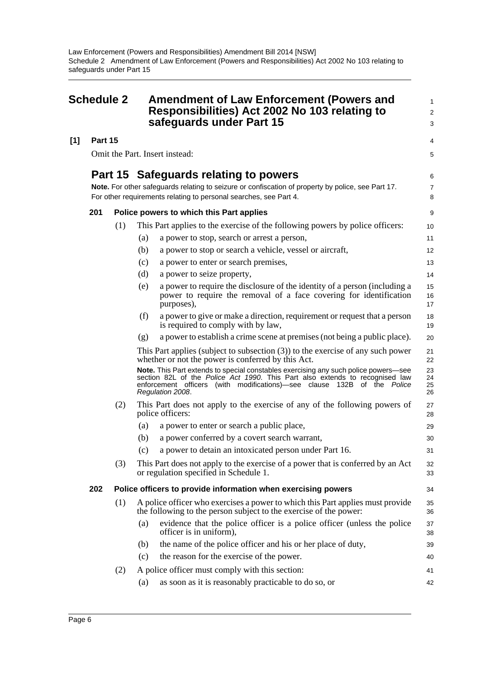<span id="page-11-0"></span>

| <b>Schedule 2</b> |         |     | <b>Amendment of Law Enforcement (Powers and</b><br>Responsibilities) Act 2002 No 103 relating to<br>safeguards under Part 15 | 1<br>$\overline{\mathbf{c}}$<br>3                                                                                                                                                                                                                                  |                      |
|-------------------|---------|-----|------------------------------------------------------------------------------------------------------------------------------|--------------------------------------------------------------------------------------------------------------------------------------------------------------------------------------------------------------------------------------------------------------------|----------------------|
| [1]               | Part 15 |     |                                                                                                                              |                                                                                                                                                                                                                                                                    | 4                    |
|                   |         |     |                                                                                                                              | Omit the Part. Insert instead:                                                                                                                                                                                                                                     | 5                    |
|                   |         |     |                                                                                                                              | Part 15 Safeguards relating to powers<br>Note. For other safeguards relating to seizure or confiscation of property by police, see Part 17.<br>For other requirements relating to personal searches, see Part 4.                                                   |                      |
|                   | 201     |     |                                                                                                                              | Police powers to which this Part applies                                                                                                                                                                                                                           | 9                    |
|                   |         | (1) |                                                                                                                              | This Part applies to the exercise of the following powers by police officers:                                                                                                                                                                                      | 10                   |
|                   |         |     | (a)                                                                                                                          | a power to stop, search or arrest a person,                                                                                                                                                                                                                        | 11                   |
|                   |         |     | (b)                                                                                                                          | a power to stop or search a vehicle, vessel or aircraft,                                                                                                                                                                                                           | 12                   |
|                   |         |     | (c)                                                                                                                          | a power to enter or search premises,                                                                                                                                                                                                                               | 13                   |
|                   |         |     | (d)                                                                                                                          | a power to seize property,                                                                                                                                                                                                                                         | 14                   |
|                   |         |     | (e)                                                                                                                          | a power to require the disclosure of the identity of a person (including a<br>power to require the removal of a face covering for identification<br>purposes),                                                                                                     | 15<br>16<br>17       |
|                   |         |     | (f)                                                                                                                          | a power to give or make a direction, requirement or request that a person<br>is required to comply with by law,                                                                                                                                                    | 18<br>19             |
|                   |         |     | (g)                                                                                                                          | a power to establish a crime scene at premises (not being a public place).                                                                                                                                                                                         | 20                   |
|                   |         |     |                                                                                                                              | This Part applies (subject to subsection $(3)$ ) to the exercise of any such power<br>whether or not the power is conferred by this Act.                                                                                                                           | 21<br>22             |
|                   |         |     |                                                                                                                              | Note. This Part extends to special constables exercising any such police powers-see<br>section 82L of the Police Act 1990. This Part also extends to recognised law<br>enforcement officers (with modifications)—see clause 132B of the Police<br>Regulation 2008. | 23<br>24<br>25<br>26 |
|                   |         | (2) |                                                                                                                              | This Part does not apply to the exercise of any of the following powers of<br>police officers:                                                                                                                                                                     | 27<br>28             |
|                   |         |     | (a)                                                                                                                          | a power to enter or search a public place,                                                                                                                                                                                                                         | 29                   |
|                   |         |     | (b)                                                                                                                          | a power conferred by a covert search warrant,                                                                                                                                                                                                                      | 30                   |
|                   |         |     | (c)                                                                                                                          | a power to detain an intoxicated person under Part 16.                                                                                                                                                                                                             | 31                   |
|                   |         | (3) |                                                                                                                              | This Part does not apply to the exercise of a power that is conferred by an Act<br>or regulation specified in Schedule 1.                                                                                                                                          | 32<br>33             |
|                   | 202     |     |                                                                                                                              | Police officers to provide information when exercising powers                                                                                                                                                                                                      | 34                   |
|                   |         | (1) |                                                                                                                              | A police officer who exercises a power to which this Part applies must provide<br>the following to the person subject to the exercise of the power:                                                                                                                | 35<br>36             |
|                   |         |     | (a)                                                                                                                          | evidence that the police officer is a police officer (unless the police<br>officer is in uniform),                                                                                                                                                                 | 37<br>38             |
|                   |         |     | (b)                                                                                                                          | the name of the police officer and his or her place of duty,                                                                                                                                                                                                       | 39                   |
|                   |         |     | (c)                                                                                                                          | the reason for the exercise of the power.                                                                                                                                                                                                                          | 40                   |
|                   |         | (2) |                                                                                                                              | A police officer must comply with this section:                                                                                                                                                                                                                    | 41                   |
|                   |         |     | (a)                                                                                                                          | as soon as it is reasonably practicable to do so, or                                                                                                                                                                                                               | 42                   |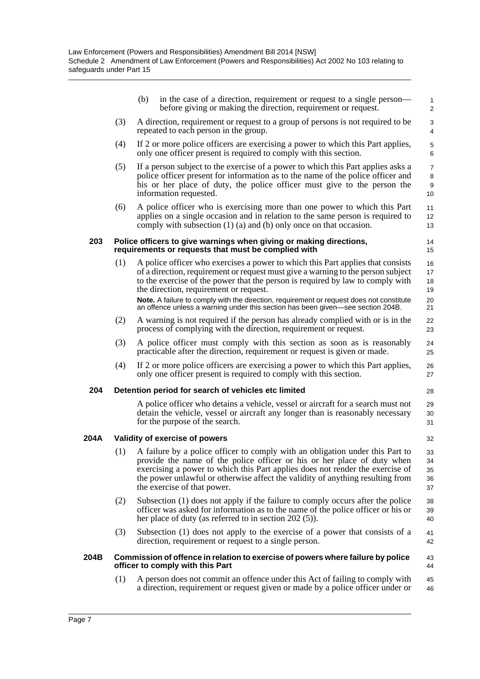|      |     | in the case of a direction, requirement or request to a single person—<br>(b)<br>before giving or making the direction, requirement or request.                                                                                                                                                                                                                                                                                                                                | $\mathbf{1}$<br>2                |
|------|-----|--------------------------------------------------------------------------------------------------------------------------------------------------------------------------------------------------------------------------------------------------------------------------------------------------------------------------------------------------------------------------------------------------------------------------------------------------------------------------------|----------------------------------|
|      | (3) | A direction, requirement or request to a group of persons is not required to be<br>repeated to each person in the group.                                                                                                                                                                                                                                                                                                                                                       | 3<br>4                           |
|      | (4) | If 2 or more police officers are exercising a power to which this Part applies,<br>only one officer present is required to comply with this section.                                                                                                                                                                                                                                                                                                                           | $\mathbf 5$<br>6                 |
|      | (5) | If a person subject to the exercise of a power to which this Part applies asks a<br>police officer present for information as to the name of the police officer and<br>his or her place of duty, the police officer must give to the person the<br>information requested.                                                                                                                                                                                                      | $\overline{7}$<br>8<br>9<br>10   |
|      | (6) | A police officer who is exercising more than one power to which this Part<br>applies on a single occasion and in relation to the same person is required to<br>comply with subsection $(1)$ $(a)$ and $(b)$ only once on that occasion.                                                                                                                                                                                                                                        | 11<br>12<br>13                   |
| 203  |     | Police officers to give warnings when giving or making directions,<br>requirements or requests that must be complied with                                                                                                                                                                                                                                                                                                                                                      | 14<br>15                         |
|      | (1) | A police officer who exercises a power to which this Part applies that consists<br>of a direction, requirement or request must give a warning to the person subject<br>to the exercise of the power that the person is required by law to comply with<br>the direction, requirement or request.<br>Note. A failure to comply with the direction, requirement or request does not constitute<br>an offence unless a warning under this section has been given—see section 204B. | 16<br>17<br>18<br>19<br>20<br>21 |
|      | (2) | A warning is not required if the person has already complied with or is in the<br>process of complying with the direction, requirement or request.                                                                                                                                                                                                                                                                                                                             | 22<br>23                         |
|      | (3) | A police officer must comply with this section as soon as is reasonably<br>practicable after the direction, requirement or request is given or made.                                                                                                                                                                                                                                                                                                                           | 24<br>25                         |
|      | (4) | If 2 or more police officers are exercising a power to which this Part applies,<br>only one officer present is required to comply with this section.                                                                                                                                                                                                                                                                                                                           | 26<br>27                         |
| 204  |     | Detention period for search of vehicles etc limited                                                                                                                                                                                                                                                                                                                                                                                                                            | 28                               |
|      |     | A police officer who detains a vehicle, vessel or aircraft for a search must not<br>detain the vehicle, vessel or aircraft any longer than is reasonably necessary<br>for the purpose of the search.                                                                                                                                                                                                                                                                           | 29<br>30<br>31                   |
| 204A |     | Validity of exercise of powers                                                                                                                                                                                                                                                                                                                                                                                                                                                 | 32                               |
|      |     | (1) A failure by a police officer to comply with an obligation under this Part to<br>provide the name of the police officer or his or her place of duty when<br>exercising a power to which this Part applies does not render the exercise of<br>the power unlawful or otherwise affect the validity of anything resulting from<br>the exercise of that power.                                                                                                                 | 33<br>34<br>35<br>36<br>37       |
|      | (2) | Subsection (1) does not apply if the failure to comply occurs after the police<br>officer was asked for information as to the name of the police officer or his or<br>her place of duty (as referred to in section $202(5)$ ).                                                                                                                                                                                                                                                 | 38<br>39<br>40                   |
|      | (3) | Subsection (1) does not apply to the exercise of a power that consists of a<br>direction, requirement or request to a single person.                                                                                                                                                                                                                                                                                                                                           | 41<br>42                         |
| 204B |     | Commission of offence in relation to exercise of powers where failure by police<br>officer to comply with this Part                                                                                                                                                                                                                                                                                                                                                            | 43<br>44                         |
|      | (1) | A person does not commit an offence under this Act of failing to comply with                                                                                                                                                                                                                                                                                                                                                                                                   | 45                               |

a direction, requirement or request given or made by a police officer under or

46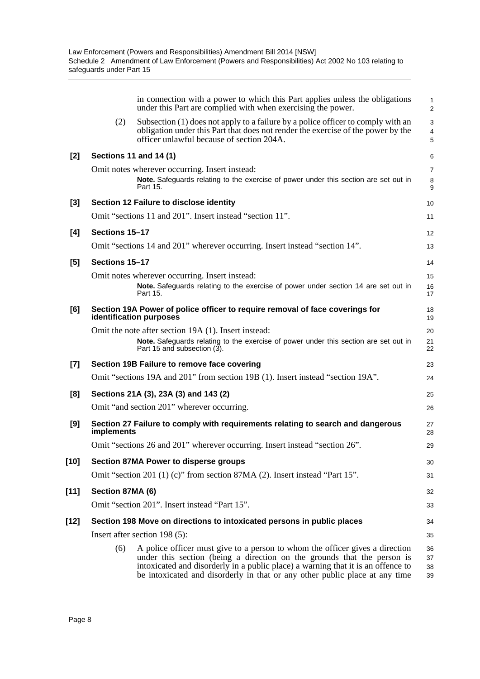|        |                  | in connection with a power to which this Part applies unless the obligations<br>under this Part are complied with when exercising the power.                                                                                                                                                                               | $\mathbf{1}$<br>$\overline{2}$ |
|--------|------------------|----------------------------------------------------------------------------------------------------------------------------------------------------------------------------------------------------------------------------------------------------------------------------------------------------------------------------|--------------------------------|
|        | (2)              | Subsection (1) does not apply to a failure by a police officer to comply with an<br>obligation under this Part that does not render the exercise of the power by the<br>officer unlawful because of section 204A.                                                                                                          | 3<br>$\overline{4}$<br>5       |
| $[2]$  |                  | <b>Sections 11 and 14 (1)</b>                                                                                                                                                                                                                                                                                              | 6                              |
|        |                  | Omit notes wherever occurring. Insert instead:<br>Note. Safeguards relating to the exercise of power under this section are set out in<br>Part 15.                                                                                                                                                                         | $\overline{7}$<br>8<br>9       |
| $[3]$  |                  | Section 12 Failure to disclose identity                                                                                                                                                                                                                                                                                    | 10                             |
|        |                  | Omit "sections 11 and 201". Insert instead "section 11".                                                                                                                                                                                                                                                                   | 11                             |
| [4]    | Sections 15-17   |                                                                                                                                                                                                                                                                                                                            | 12                             |
|        |                  | Omit "sections 14 and 201" wherever occurring. Insert instead "section 14".                                                                                                                                                                                                                                                | 13                             |
| [5]    | Sections 15-17   |                                                                                                                                                                                                                                                                                                                            | 14                             |
|        |                  | Omit notes wherever occurring. Insert instead:                                                                                                                                                                                                                                                                             | 15                             |
|        |                  | Note. Safeguards relating to the exercise of power under section 14 are set out in<br>Part 15.                                                                                                                                                                                                                             | 16<br>17                       |
| [6]    |                  | Section 19A Power of police officer to require removal of face coverings for<br>identification purposes                                                                                                                                                                                                                    | 18<br>19                       |
|        |                  | Omit the note after section 19A (1). Insert instead:<br>Note. Safeguards relating to the exercise of power under this section are set out in<br>Part 15 and subsection (3).                                                                                                                                                | 20<br>21<br>22                 |
| $[7]$  |                  | Section 19B Failure to remove face covering                                                                                                                                                                                                                                                                                | 23                             |
|        |                  | Omit "sections 19A and 201" from section 19B (1). Insert instead "section 19A".                                                                                                                                                                                                                                            | 24                             |
| [8]    |                  | Sections 21A (3), 23A (3) and 143 (2)                                                                                                                                                                                                                                                                                      | 25                             |
|        |                  | Omit "and section 201" wherever occurring.                                                                                                                                                                                                                                                                                 | 26                             |
| [9]    | implements       | Section 27 Failure to comply with requirements relating to search and dangerous                                                                                                                                                                                                                                            | 27<br>28                       |
|        |                  | Omit "sections 26 and 201" wherever occurring. Insert instead "section 26".                                                                                                                                                                                                                                                | 29                             |
| $[10]$ |                  | Section 87MA Power to disperse groups                                                                                                                                                                                                                                                                                      | 30                             |
|        |                  | Omit "section 201 (1) (c)" from section 87MA (2). Insert instead "Part $15$ ".                                                                                                                                                                                                                                             | 31                             |
| $[11]$ | Section 87MA (6) |                                                                                                                                                                                                                                                                                                                            | 32                             |
|        |                  | Omit "section 201". Insert instead "Part 15".                                                                                                                                                                                                                                                                              | 33                             |
| $[12]$ |                  | Section 198 Move on directions to intoxicated persons in public places                                                                                                                                                                                                                                                     | 34                             |
|        |                  | Insert after section $198(5)$ :                                                                                                                                                                                                                                                                                            | 35                             |
|        | (6)              | A police officer must give to a person to whom the officer gives a direction<br>under this section (being a direction on the grounds that the person is<br>intoxicated and disorderly in a public place) a warning that it is an offence to<br>be intoxicated and disorderly in that or any other public place at any time | 36<br>37<br>38<br>39           |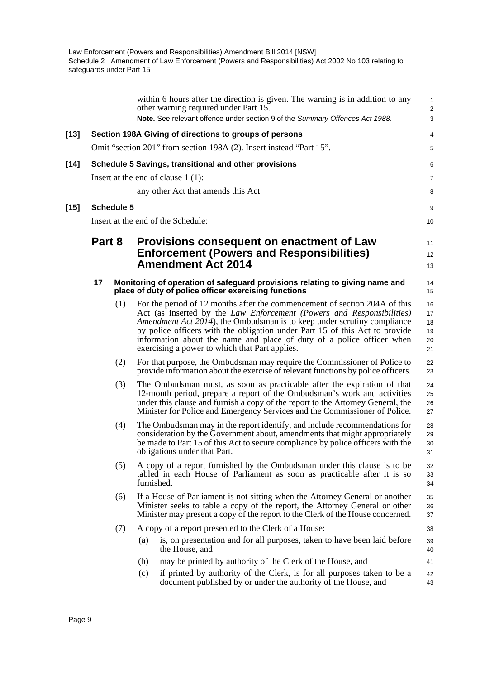|        |        |                   |                                      | within 6 hours after the direction is given. The warning is in addition to any<br>other warning required under Part 15.<br>Note. See relevant offence under section 9 of the Summary Offences Act 1988.                                                                                                                                                                                                                                  | $\mathbf{1}$<br>2<br>3           |
|--------|--------|-------------------|--------------------------------------|------------------------------------------------------------------------------------------------------------------------------------------------------------------------------------------------------------------------------------------------------------------------------------------------------------------------------------------------------------------------------------------------------------------------------------------|----------------------------------|
| $[13]$ |        |                   |                                      | Section 198A Giving of directions to groups of persons                                                                                                                                                                                                                                                                                                                                                                                   | 4                                |
|        |        |                   |                                      | Omit "section 201" from section 198A (2). Insert instead "Part 15".                                                                                                                                                                                                                                                                                                                                                                      | 5                                |
| $[14]$ |        |                   |                                      | Schedule 5 Savings, transitional and other provisions                                                                                                                                                                                                                                                                                                                                                                                    | 6                                |
|        |        |                   | Insert at the end of clause $1(1)$ : |                                                                                                                                                                                                                                                                                                                                                                                                                                          | 7                                |
|        |        |                   |                                      | any other Act that amends this Act                                                                                                                                                                                                                                                                                                                                                                                                       | 8                                |
| $[15]$ |        | <b>Schedule 5</b> |                                      |                                                                                                                                                                                                                                                                                                                                                                                                                                          | 9                                |
|        |        |                   | Insert at the end of the Schedule:   |                                                                                                                                                                                                                                                                                                                                                                                                                                          | 10                               |
|        | Part 8 |                   |                                      | Provisions consequent on enactment of Law<br><b>Enforcement (Powers and Responsibilities)</b><br><b>Amendment Act 2014</b>                                                                                                                                                                                                                                                                                                               | 11<br>12<br>13                   |
|        | 17     |                   |                                      | Monitoring of operation of safeguard provisions relating to giving name and<br>place of duty of police officer exercising functions                                                                                                                                                                                                                                                                                                      | 14<br>15                         |
|        |        | (1)               |                                      | For the period of 12 months after the commencement of section 204A of this<br>Act (as inserted by the Law Enforcement (Powers and Responsibilities)<br>Amendment Act 2014), the Ombudsman is to keep under scrutiny compliance<br>by police officers with the obligation under Part 15 of this Act to provide<br>information about the name and place of duty of a police officer when<br>exercising a power to which that Part applies. | 16<br>17<br>18<br>19<br>20<br>21 |
|        |        | (2)               |                                      | For that purpose, the Ombudsman may require the Commissioner of Police to<br>provide information about the exercise of relevant functions by police officers.                                                                                                                                                                                                                                                                            | 22<br>23                         |
|        |        | (3)               |                                      | The Ombudsman must, as soon as practicable after the expiration of that<br>12-month period, prepare a report of the Ombudsman's work and activities<br>under this clause and furnish a copy of the report to the Attorney General, the<br>Minister for Police and Emergency Services and the Commissioner of Police.                                                                                                                     | 24<br>25<br>26<br>27             |
|        |        | (4)               | obligations under that Part.         | The Ombudsman may in the report identify, and include recommendations for<br>consideration by the Government about, amendments that might appropriately<br>be made to Part 15 of this Act to secure compliance by police officers with the                                                                                                                                                                                               | 28<br>29<br>30<br>31             |
|        |        | (5)               | furnished.                           | A copy of a report furnished by the Ombudsman under this clause is to be<br>tabled in each House of Parliament as soon as practicable after it is so                                                                                                                                                                                                                                                                                     | 32<br>33<br>34                   |
|        |        | (6)               |                                      | If a House of Parliament is not sitting when the Attorney General or another<br>Minister seeks to table a copy of the report, the Attorney General or other<br>Minister may present a copy of the report to the Clerk of the House concerned.                                                                                                                                                                                            | 35<br>36<br>37                   |
|        |        | (7)               |                                      | A copy of a report presented to the Clerk of a House:                                                                                                                                                                                                                                                                                                                                                                                    | 38                               |
|        |        |                   | (a)<br>the House, and                | is, on presentation and for all purposes, taken to have been laid before                                                                                                                                                                                                                                                                                                                                                                 | 39<br>40                         |
|        |        |                   | (b)                                  | may be printed by authority of the Clerk of the House, and                                                                                                                                                                                                                                                                                                                                                                               | 41                               |
|        |        |                   | (c)                                  | if printed by authority of the Clerk, is for all purposes taken to be a<br>document published by or under the authority of the House, and                                                                                                                                                                                                                                                                                                | 42<br>43                         |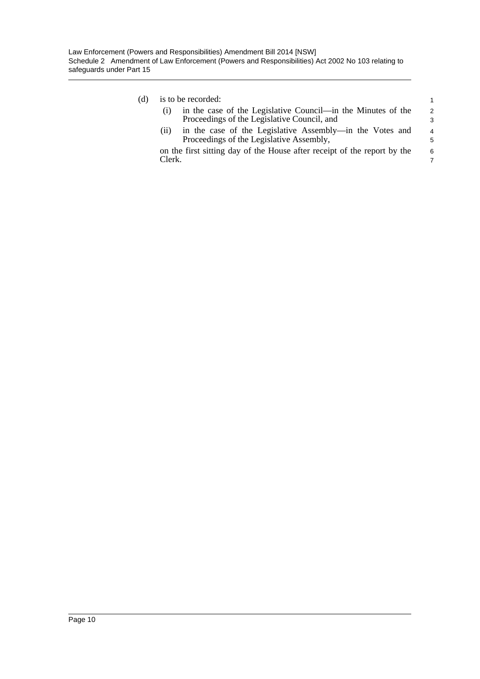#### (d) is to be recorded:

|     | s to be recorded:                                            |  |
|-----|--------------------------------------------------------------|--|
| (i) | in the case of the Legislative Council—in the Minutes of the |  |
|     | Proceedings of the Legislative Council, and                  |  |

(ii) in the case of the Legislative Assembly—in the Votes and Proceedings of the Legislative Assembly,

on the first sitting day of the House after receipt of the report by the Clerk.

4 5 6

7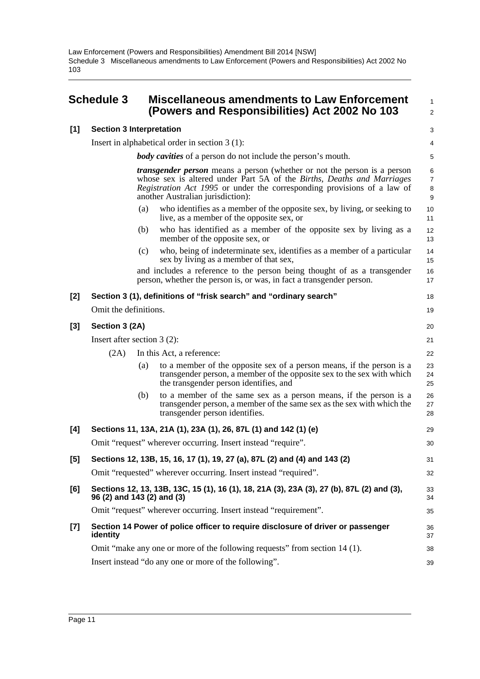### <span id="page-16-0"></span>**Schedule 3 Miscellaneous amendments to Law Enforcement (Powers and Responsibilities) Act 2002 No 103**

#### **[1] Section 3 Interpretation**

Insert in alphabetical order in section 3 (1):

*body cavities* of a person do not include the person's mouth.

*transgender person* means a person (whether or not the person is a person whose sex is altered under Part 5A of the *Births, Deaths and Marriages Registration Act 1995* or under the corresponding provisions of a law of another Australian jurisdiction):

1  $\overline{2}$ 

39

- (a) who identifies as a member of the opposite sex, by living, or seeking to live, as a member of the opposite sex, or
- (b) who has identified as a member of the opposite sex by living as a member of the opposite sex, or
- (c) who, being of indeterminate sex, identifies as a member of a particular sex by living as a member of that sex,

and includes a reference to the person being thought of as a transgender person, whether the person is, or was, in fact a transgender person.

#### **[2] Section 3 (1), definitions of "frisk search" and "ordinary search"** Omit the definitions. **[3] Section 3 (2A)** Insert after section 3 (2): (2A) In this Act, a reference: (a) to a member of the opposite sex of a person means, if the person is a transgender person, a member of the opposite sex to the sex with which the transgender person identifies, and (b) to a member of the same sex as a person means, if the person is a transgender person, a member of the same sex as the sex with which the transgender person identifies. **[4] Sections 11, 13A, 21A (1), 23A (1), 26, 87L (1) and 142 (1) (e)** Omit "request" wherever occurring. Insert instead "require". **[5] Sections 12, 13B, 15, 16, 17 (1), 19, 27 (a), 87L (2) and (4) and 143 (2)** Omit "requested" wherever occurring. Insert instead "required". **[6] Sections 12, 13, 13B, 13C, 15 (1), 16 (1), 18, 21A (3), 23A (3), 27 (b), 87L (2) and (3), 96 (2) and 143 (2) and (3)** Omit "request" wherever occurring. Insert instead "requirement". **[7] Section 14 Power of police officer to require disclosure of driver or passenger identity** Omit "make any one or more of the following requests" from section 14 (1). 17 18 19 20 21 22 23 24 25 26 27 28 29 30 31 32 33 34 35 36 37 38

Insert instead "do any one or more of the following".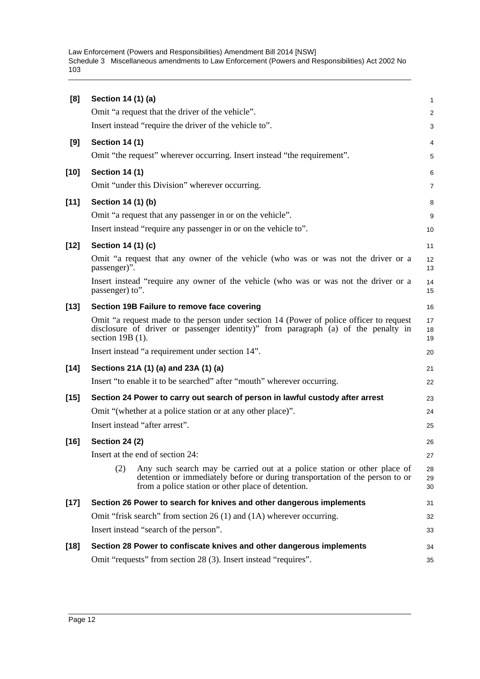| [8]    | Section 14 (1) (a)                                                                                                                                                                                                    | 1              |
|--------|-----------------------------------------------------------------------------------------------------------------------------------------------------------------------------------------------------------------------|----------------|
|        | Omit "a request that the driver of the vehicle".                                                                                                                                                                      | $\overline{a}$ |
|        | Insert instead "require the driver of the vehicle to".                                                                                                                                                                | 3              |
| [9]    | <b>Section 14 (1)</b>                                                                                                                                                                                                 | 4              |
|        | Omit "the request" wherever occurring. Insert instead "the requirement".                                                                                                                                              | 5              |
| $[10]$ | <b>Section 14 (1)</b>                                                                                                                                                                                                 | 6              |
|        | Omit "under this Division" wherever occurring.                                                                                                                                                                        | 7              |
| $[11]$ | Section 14 (1) (b)                                                                                                                                                                                                    | 8              |
|        | Omit "a request that any passenger in or on the vehicle".                                                                                                                                                             | 9              |
|        | Insert instead "require any passenger in or on the vehicle to".                                                                                                                                                       | 10             |
| $[12]$ | Section 14 (1) (c)                                                                                                                                                                                                    | 11             |
|        | Omit "a request that any owner of the vehicle (who was or was not the driver or a<br>passenger)".                                                                                                                     | 12<br>13       |
|        | Insert instead "require any owner of the vehicle (who was or was not the driver or a<br>passenger) to".                                                                                                               | 14<br>15       |
| $[13]$ | Section 19B Failure to remove face covering                                                                                                                                                                           | 16             |
|        | Omit "a request made to the person under section 14 (Power of police officer to request<br>disclosure of driver or passenger identity)" from paragraph (a) of the penalty in<br>section $19B(1)$ .                    | 17<br>18<br>19 |
|        | Insert instead "a requirement under section 14".                                                                                                                                                                      | 20             |
| $[14]$ | Sections 21A (1) (a) and 23A (1) (a)                                                                                                                                                                                  | 21             |
|        | Insert "to enable it to be searched" after "mouth" wherever occurring.                                                                                                                                                | 22             |
| $[15]$ | Section 24 Power to carry out search of person in lawful custody after arrest                                                                                                                                         | 23             |
|        | Omit "(whether at a police station or at any other place)".                                                                                                                                                           | 24             |
|        | Insert instead "after arrest".                                                                                                                                                                                        | 25             |
| $[16]$ | <b>Section 24 (2)</b>                                                                                                                                                                                                 | 26             |
|        | Insert at the end of section 24:                                                                                                                                                                                      | 27             |
|        | (2)<br>Any such search may be carried out at a police station or other place of<br>detention or immediately before or during transportation of the person to or<br>from a police station or other place of detention. | 28<br>29<br>30 |
| $[17]$ | Section 26 Power to search for knives and other dangerous implements                                                                                                                                                  | 31             |
|        | Omit "frisk search" from section 26 (1) and (1A) wherever occurring.                                                                                                                                                  | 32             |
|        | Insert instead "search of the person".                                                                                                                                                                                | 33             |
| $[18]$ | Section 28 Power to confiscate knives and other dangerous implements                                                                                                                                                  | 34             |
|        | Omit "requests" from section 28 (3). Insert instead "requires".                                                                                                                                                       | 35             |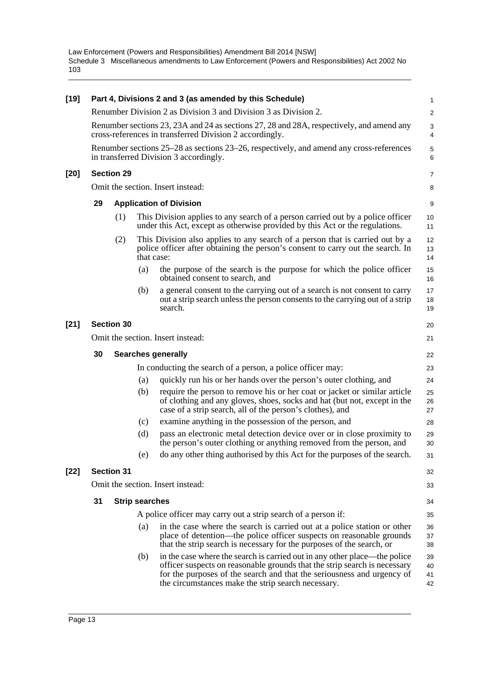| $[19]$ |                                   |                       |     | Part 4, Divisions 2 and 3 (as amended by this Schedule)                                                                                                                                                                                                                                | 1                    |  |  |
|--------|-----------------------------------|-----------------------|-----|----------------------------------------------------------------------------------------------------------------------------------------------------------------------------------------------------------------------------------------------------------------------------------------|----------------------|--|--|
|        |                                   |                       |     | Renumber Division 2 as Division 3 and Division 3 as Division 2.                                                                                                                                                                                                                        | $\overline{a}$       |  |  |
|        |                                   |                       |     | Renumber sections 23, 23A and 24 as sections 27, 28 and 28A, respectively, and amend any<br>cross-references in transferred Division 2 accordingly.                                                                                                                                    | 3<br>4               |  |  |
|        |                                   |                       |     | Renumber sections 25–28 as sections 23–26, respectively, and amend any cross-references<br>in transferred Division 3 accordingly.                                                                                                                                                      | 5<br>6               |  |  |
| $[20]$ |                                   | <b>Section 29</b>     |     |                                                                                                                                                                                                                                                                                        | 7                    |  |  |
|        |                                   |                       |     | Omit the section. Insert instead:                                                                                                                                                                                                                                                      | 8                    |  |  |
|        | 29                                |                       |     | <b>Application of Division</b>                                                                                                                                                                                                                                                         | 9                    |  |  |
|        |                                   | (1)                   |     | This Division applies to any search of a person carried out by a police officer<br>under this Act, except as otherwise provided by this Act or the regulations.                                                                                                                        | 10<br>11             |  |  |
|        |                                   | (2)                   |     | This Division also applies to any search of a person that is carried out by a<br>police officer after obtaining the person's consent to carry out the search. In<br>that case:                                                                                                         | 12<br>13<br>14       |  |  |
|        |                                   |                       | (a) | the purpose of the search is the purpose for which the police officer<br>obtained consent to search, and                                                                                                                                                                               | 15<br>16             |  |  |
|        |                                   |                       | (b) | a general consent to the carrying out of a search is not consent to carry<br>out a strip search unless the person consents to the carrying out of a strip<br>search.                                                                                                                   | 17<br>18<br>19       |  |  |
| $[21]$ | <b>Section 30</b>                 |                       |     |                                                                                                                                                                                                                                                                                        |                      |  |  |
|        | Omit the section. Insert instead: |                       |     |                                                                                                                                                                                                                                                                                        |                      |  |  |
|        | 30                                |                       |     | <b>Searches generally</b>                                                                                                                                                                                                                                                              | 22                   |  |  |
|        |                                   |                       |     | In conducting the search of a person, a police officer may:                                                                                                                                                                                                                            | 23                   |  |  |
|        |                                   |                       | (a) | quickly run his or her hands over the person's outer clothing, and                                                                                                                                                                                                                     | 24                   |  |  |
|        |                                   |                       | (b) | require the person to remove his or her coat or jacket or similar article<br>of clothing and any gloves, shoes, socks and hat (but not, except in the<br>case of a strip search, all of the person's clothes), and                                                                     | 25<br>26<br>27       |  |  |
|        |                                   |                       | (c) | examine anything in the possession of the person, and                                                                                                                                                                                                                                  | 28                   |  |  |
|        |                                   |                       | (d) | pass an electronic metal detection device over or in close proximity to<br>the person's outer clothing or anything removed from the person, and                                                                                                                                        | 29<br>30             |  |  |
|        |                                   |                       |     | do any other thing authorised by this Act for the purposes of the search.                                                                                                                                                                                                              | 31                   |  |  |
| $[22]$ |                                   | <b>Section 31</b>     |     |                                                                                                                                                                                                                                                                                        | 32                   |  |  |
|        |                                   |                       |     | Omit the section. Insert instead:                                                                                                                                                                                                                                                      | 33                   |  |  |
|        | 31                                | <b>Strip searches</b> |     |                                                                                                                                                                                                                                                                                        | 34                   |  |  |
|        |                                   |                       |     | A police officer may carry out a strip search of a person if:                                                                                                                                                                                                                          | 35                   |  |  |
|        |                                   |                       | (a) | in the case where the search is carried out at a police station or other<br>place of detention—the police officer suspects on reasonable grounds<br>that the strip search is necessary for the purposes of the search, or                                                              | 36<br>37<br>38       |  |  |
|        |                                   |                       | (b) | in the case where the search is carried out in any other place—the police<br>officer suspects on reasonable grounds that the strip search is necessary<br>for the purposes of the search and that the seriousness and urgency of<br>the circumstances make the strip search necessary. | 39<br>40<br>41<br>42 |  |  |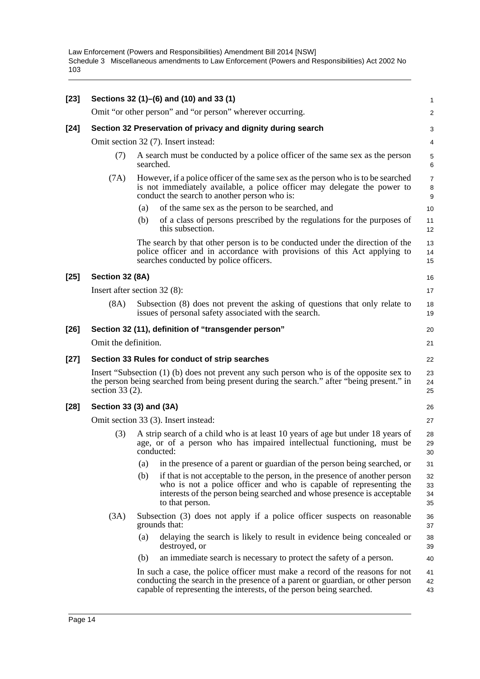| $[23]$ |                                                                                                                                                                                                              | Sections 32 (1)–(6) and (10) and 33 (1)                                                                                                                                                                                                               | 1                                                 |  |  |  |  |
|--------|--------------------------------------------------------------------------------------------------------------------------------------------------------------------------------------------------------------|-------------------------------------------------------------------------------------------------------------------------------------------------------------------------------------------------------------------------------------------------------|---------------------------------------------------|--|--|--|--|
|        |                                                                                                                                                                                                              | Omit "or other person" and "or person" wherever occurring.                                                                                                                                                                                            | 2                                                 |  |  |  |  |
| $[24]$ | Section 32 Preservation of privacy and dignity during search                                                                                                                                                 |                                                                                                                                                                                                                                                       |                                                   |  |  |  |  |
|        | Omit section 32 (7). Insert instead:                                                                                                                                                                         |                                                                                                                                                                                                                                                       |                                                   |  |  |  |  |
|        | (7)                                                                                                                                                                                                          | A search must be conducted by a police officer of the same sex as the person<br>searched.                                                                                                                                                             | $\mathbf 5$<br>6                                  |  |  |  |  |
|        | (7A)                                                                                                                                                                                                         | However, if a police officer of the same sex as the person who is to be searched<br>is not immediately available, a police officer may delegate the power to<br>conduct the search to another person who is:                                          | $\overline{7}$<br>$\,$ 8 $\,$<br>$\boldsymbol{9}$ |  |  |  |  |
|        |                                                                                                                                                                                                              | of the same sex as the person to be searched, and<br>(a)                                                                                                                                                                                              | 10                                                |  |  |  |  |
|        |                                                                                                                                                                                                              | of a class of persons prescribed by the regulations for the purposes of<br>(b)<br>this subsection.                                                                                                                                                    | 11<br>12                                          |  |  |  |  |
|        |                                                                                                                                                                                                              | The search by that other person is to be conducted under the direction of the<br>police officer and in accordance with provisions of this Act applying to<br>searches conducted by police officers.                                                   | 13<br>14<br>15                                    |  |  |  |  |
| $[25]$ | Section 32 (8A)                                                                                                                                                                                              |                                                                                                                                                                                                                                                       | 16                                                |  |  |  |  |
|        |                                                                                                                                                                                                              | Insert after section $32(8)$ :                                                                                                                                                                                                                        | 17                                                |  |  |  |  |
|        | (8A)                                                                                                                                                                                                         | Subsection (8) does not prevent the asking of questions that only relate to<br>issues of personal safety associated with the search.                                                                                                                  | 18<br>19                                          |  |  |  |  |
| $[26]$ | Section 32 (11), definition of "transgender person"                                                                                                                                                          |                                                                                                                                                                                                                                                       |                                                   |  |  |  |  |
|        | Omit the definition.                                                                                                                                                                                         |                                                                                                                                                                                                                                                       |                                                   |  |  |  |  |
| $[27]$ |                                                                                                                                                                                                              | Section 33 Rules for conduct of strip searches                                                                                                                                                                                                        | 22                                                |  |  |  |  |
|        | Insert "Subsection (1) (b) does not prevent any such person who is of the opposite sex to<br>the person being searched from being present during the search." after "being present." in<br>section $33(2)$ . |                                                                                                                                                                                                                                                       |                                                   |  |  |  |  |
| $[28]$ |                                                                                                                                                                                                              | Section 33 (3) and (3A)                                                                                                                                                                                                                               | 26                                                |  |  |  |  |
|        | Omit section 33 (3). Insert instead:                                                                                                                                                                         |                                                                                                                                                                                                                                                       |                                                   |  |  |  |  |
|        | (3)                                                                                                                                                                                                          | A strip search of a child who is at least 10 years of age but under 18 years of<br>age, or of a person who has impaired intellectual functioning, must be<br>conducted:                                                                               | 28<br>29<br>30                                    |  |  |  |  |
|        |                                                                                                                                                                                                              | in the presence of a parent or guardian of the person being searched, or<br>(a)                                                                                                                                                                       | 31                                                |  |  |  |  |
|        |                                                                                                                                                                                                              | (b)<br>if that is not acceptable to the person, in the presence of another person<br>who is not a police officer and who is capable of representing the<br>interests of the person being searched and whose presence is acceptable<br>to that person. | 32<br>33<br>34<br>35                              |  |  |  |  |
|        | (3A)                                                                                                                                                                                                         | Subsection (3) does not apply if a police officer suspects on reasonable<br>grounds that:                                                                                                                                                             | 36<br>37                                          |  |  |  |  |
|        |                                                                                                                                                                                                              | delaying the search is likely to result in evidence being concealed or<br>(a)<br>destroyed, or                                                                                                                                                        | 38<br>39                                          |  |  |  |  |
|        |                                                                                                                                                                                                              | (b)<br>an immediate search is necessary to protect the safety of a person.                                                                                                                                                                            | 40                                                |  |  |  |  |
|        |                                                                                                                                                                                                              | In such a case, the police officer must make a record of the reasons for not<br>conducting the search in the presence of a parent or guardian, or other person<br>capable of representing the interests, of the person being searched.                | 41<br>42<br>43                                    |  |  |  |  |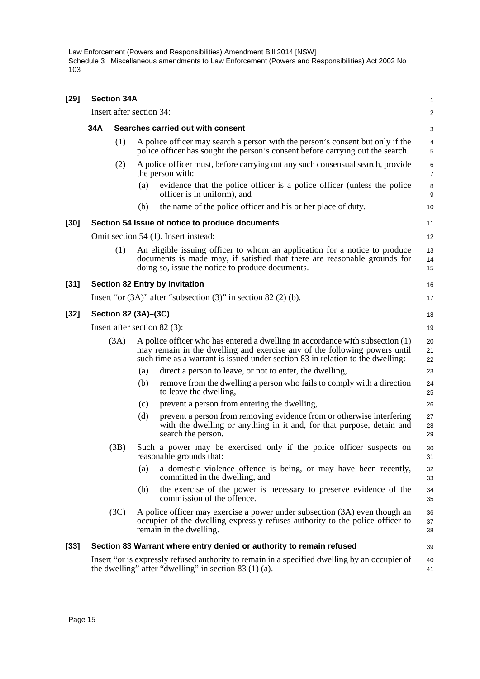| [29]   | <b>Section 34A</b>             |                          |     |                                                                                                                                                                                                                                              |                     |  |  |
|--------|--------------------------------|--------------------------|-----|----------------------------------------------------------------------------------------------------------------------------------------------------------------------------------------------------------------------------------------------|---------------------|--|--|
|        |                                | Insert after section 34: |     |                                                                                                                                                                                                                                              |                     |  |  |
|        | 34A                            |                          |     | Searches carried out with consent                                                                                                                                                                                                            | 3                   |  |  |
|        |                                | (1)                      |     | A police officer may search a person with the person's consent but only if the<br>police officer has sought the person's consent before carrying out the search.                                                                             | 4<br>5              |  |  |
|        |                                | (2)                      |     | A police officer must, before carrying out any such consensual search, provide<br>the person with:                                                                                                                                           | 6<br>$\overline{7}$ |  |  |
|        |                                |                          | (a) | evidence that the police officer is a police officer (unless the police<br>officer is in uniform), and                                                                                                                                       | 8<br>9              |  |  |
|        |                                |                          | (b) | the name of the police officer and his or her place of duty.                                                                                                                                                                                 | 10                  |  |  |
| $[30]$ |                                |                          |     | Section 54 Issue of notice to produce documents                                                                                                                                                                                              | 11                  |  |  |
|        |                                |                          |     | Omit section 54 (1). Insert instead:                                                                                                                                                                                                         | 12                  |  |  |
|        |                                | (1)                      |     | An eligible issuing officer to whom an application for a notice to produce<br>documents is made may, if satisfied that there are reasonable grounds for<br>doing so, issue the notice to produce documents.                                  | 13<br>14<br>15      |  |  |
| $[31]$ |                                |                          |     | <b>Section 82 Entry by invitation</b>                                                                                                                                                                                                        | 16                  |  |  |
|        |                                |                          |     | Insert "or $(3A)$ " after "subsection $(3)$ " in section 82 $(2)$ (b).                                                                                                                                                                       | 17                  |  |  |
| $[32]$ | Section 82 (3A)-(3C)           |                          |     |                                                                                                                                                                                                                                              |                     |  |  |
|        | Insert after section $82$ (3): |                          |     |                                                                                                                                                                                                                                              |                     |  |  |
|        |                                | (3A)                     |     | A police officer who has entered a dwelling in accordance with subsection (1)<br>may remain in the dwelling and exercise any of the following powers until<br>such time as a warrant is issued under section 83 in relation to the dwelling: | 20<br>21<br>22      |  |  |
|        |                                |                          | (a) | direct a person to leave, or not to enter, the dwelling,                                                                                                                                                                                     | 23                  |  |  |
|        |                                |                          | (b) | remove from the dwelling a person who fails to comply with a direction<br>to leave the dwelling,                                                                                                                                             | 24<br>25            |  |  |
|        |                                |                          | (c) | prevent a person from entering the dwelling,                                                                                                                                                                                                 | 26                  |  |  |
|        |                                |                          | (d) | prevent a person from removing evidence from or otherwise interfering<br>with the dwelling or anything in it and, for that purpose, detain and<br>search the person.                                                                         | 27<br>28<br>29      |  |  |
|        |                                | (3B)                     |     | Such a power may be exercised only if the police officer suspects on<br>reasonable grounds that:                                                                                                                                             | 30<br>31            |  |  |
|        |                                |                          | (a) | a domestic violence offence is being, or may have been recently,<br>committed in the dwelling, and                                                                                                                                           | 32<br>33            |  |  |
|        |                                |                          | (b) | the exercise of the power is necessary to preserve evidence of the<br>commission of the offence.                                                                                                                                             | 34<br>35            |  |  |
|        |                                | (3C)                     |     | A police officer may exercise a power under subsection (3A) even though an<br>occupier of the dwelling expressly refuses authority to the police officer to<br>remain in the dwelling.                                                       | 36<br>37<br>38      |  |  |
| $[33]$ |                                |                          |     | Section 83 Warrant where entry denied or authority to remain refused                                                                                                                                                                         | 39                  |  |  |
|        |                                |                          |     | Insert "or is expressly refused authority to remain in a specified dwelling by an occupier of<br>the dwelling" after "dwelling" in section $83(1)(a)$ .                                                                                      | 40<br>41            |  |  |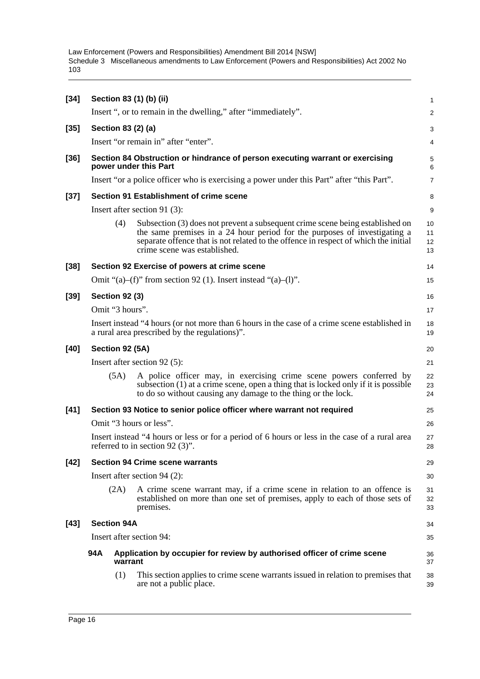| $[34]$ |                                                                                           |      | Section 83 (1) (b) (ii)                                                                                                                                                                                                                                                           | $\mathbf{1}$         |  |  |  |
|--------|-------------------------------------------------------------------------------------------|------|-----------------------------------------------------------------------------------------------------------------------------------------------------------------------------------------------------------------------------------------------------------------------------------|----------------------|--|--|--|
|        |                                                                                           |      | Insert ", or to remain in the dwelling," after "immediately".                                                                                                                                                                                                                     | 2                    |  |  |  |
| $[35]$ |                                                                                           |      | Section 83 (2) (a)                                                                                                                                                                                                                                                                | 3                    |  |  |  |
|        |                                                                                           |      | Insert "or remain in" after "enter".                                                                                                                                                                                                                                              | 4                    |  |  |  |
| $[36]$ |                                                                                           |      | Section 84 Obstruction or hindrance of person executing warrant or exercising<br>power under this Part                                                                                                                                                                            | 5<br>6               |  |  |  |
|        |                                                                                           |      | Insert "or a police officer who is exercising a power under this Part" after "this Part".                                                                                                                                                                                         | $\overline{7}$       |  |  |  |
| $[37]$ |                                                                                           |      | Section 91 Establishment of crime scene                                                                                                                                                                                                                                           | 8                    |  |  |  |
|        |                                                                                           |      | Insert after section 91 $(3)$ :                                                                                                                                                                                                                                                   | 9                    |  |  |  |
|        |                                                                                           | (4)  | Subsection (3) does not prevent a subsequent crime scene being established on<br>the same premises in a 24 hour period for the purposes of investigating a<br>separate offence that is not related to the offence in respect of which the initial<br>crime scene was established. | 10<br>11<br>12<br>13 |  |  |  |
| $[38]$ |                                                                                           |      | Section 92 Exercise of powers at crime scene                                                                                                                                                                                                                                      | 14                   |  |  |  |
|        |                                                                                           |      | Omit "(a)–(f)" from section 92 (1). Insert instead "(a)–(l)".                                                                                                                                                                                                                     | 15                   |  |  |  |
| $[39]$ | <b>Section 92 (3)</b>                                                                     |      |                                                                                                                                                                                                                                                                                   | 16                   |  |  |  |
|        | Omit "3 hours".                                                                           |      |                                                                                                                                                                                                                                                                                   | 17                   |  |  |  |
|        |                                                                                           |      | Insert instead "4 hours (or not more than 6 hours in the case of a crime scene established in<br>a rural area prescribed by the regulations)".                                                                                                                                    | 18<br>19             |  |  |  |
| $[40]$ | Section 92 (5A)                                                                           |      |                                                                                                                                                                                                                                                                                   |                      |  |  |  |
|        |                                                                                           |      | Insert after section $92(5)$ :                                                                                                                                                                                                                                                    | 21                   |  |  |  |
|        |                                                                                           | (5A) | A police officer may, in exercising crime scene powers conferred by<br>subsection (1) at a crime scene, open a thing that is locked only if it is possible<br>to do so without causing any damage to the thing or the lock.                                                       | 22<br>23<br>24       |  |  |  |
| $[41]$ | Section 93 Notice to senior police officer where warrant not required                     |      |                                                                                                                                                                                                                                                                                   |                      |  |  |  |
|        | Omit "3 hours or less".                                                                   |      |                                                                                                                                                                                                                                                                                   |                      |  |  |  |
|        |                                                                                           |      | Insert instead "4 hours or less or for a period of 6 hours or less in the case of a rural area<br>referred to in section 92 $(3)$ ".                                                                                                                                              | 27<br>28             |  |  |  |
| $[42]$ | <b>Section 94 Crime scene warrants</b>                                                    |      |                                                                                                                                                                                                                                                                                   |                      |  |  |  |
|        | Insert after section $94(2)$ :                                                            |      |                                                                                                                                                                                                                                                                                   |                      |  |  |  |
|        |                                                                                           | (2A) | A crime scene warrant may, if a crime scene in relation to an offence is<br>established on more than one set of premises, apply to each of those sets of<br>premises.                                                                                                             | 31<br>32<br>33       |  |  |  |
| $[43]$ | <b>Section 94A</b>                                                                        |      |                                                                                                                                                                                                                                                                                   |                      |  |  |  |
|        | Insert after section 94:                                                                  |      |                                                                                                                                                                                                                                                                                   |                      |  |  |  |
|        | 94A<br>Application by occupier for review by authorised officer of crime scene<br>warrant |      |                                                                                                                                                                                                                                                                                   |                      |  |  |  |
|        |                                                                                           | (1)  | This section applies to crime scene warrants issued in relation to premises that<br>are not a public place.                                                                                                                                                                       | 38<br>39             |  |  |  |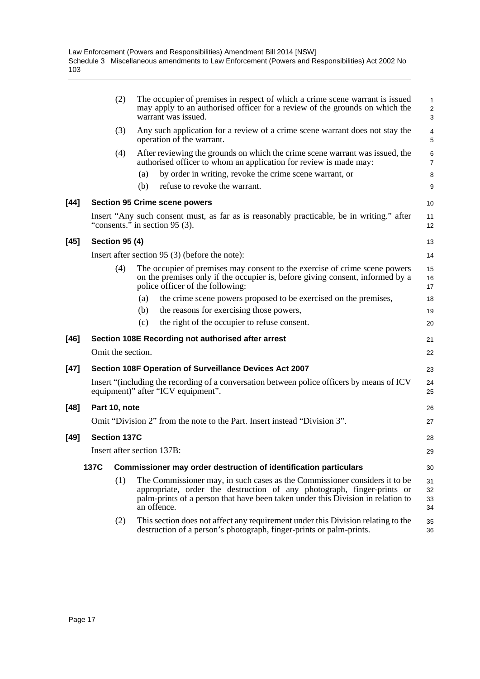|        |                                                                           | (2)               |     | The occupier of premises in respect of which a crime scene warrant is issued<br>may apply to an authorised officer for a review of the grounds on which the<br>warrant was issued.                                                                     | $\mathbf{1}$<br>$\overline{c}$<br>3 |  |  |
|--------|---------------------------------------------------------------------------|-------------------|-----|--------------------------------------------------------------------------------------------------------------------------------------------------------------------------------------------------------------------------------------------------------|-------------------------------------|--|--|
|        |                                                                           | (3)               |     | Any such application for a review of a crime scene warrant does not stay the<br>operation of the warrant.                                                                                                                                              | 4<br>5                              |  |  |
|        |                                                                           | (4)               |     | After reviewing the grounds on which the crime scene warrant was issued, the<br>authorised officer to whom an application for review is made may:                                                                                                      | $\,6\,$<br>$\overline{7}$           |  |  |
|        |                                                                           |                   | (a) | by order in writing, revoke the crime scene warrant, or                                                                                                                                                                                                | 8                                   |  |  |
|        |                                                                           |                   | (b) | refuse to revoke the warrant.                                                                                                                                                                                                                          | 9                                   |  |  |
| [44]   |                                                                           |                   |     | <b>Section 95 Crime scene powers</b>                                                                                                                                                                                                                   | 10                                  |  |  |
|        |                                                                           |                   |     | Insert "Any such consent must, as far as is reasonably practicable, be in writing." after<br>"consents." in section 95 (3).                                                                                                                            | 11<br>12                            |  |  |
| [45]   | <b>Section 95 (4)</b>                                                     |                   |     |                                                                                                                                                                                                                                                        |                                     |  |  |
|        |                                                                           |                   |     | Insert after section 95 (3) (before the note):                                                                                                                                                                                                         | 14                                  |  |  |
|        |                                                                           | (4)               |     | The occupier of premises may consent to the exercise of crime scene powers<br>on the premises only if the occupier is, before giving consent, informed by a<br>police officer of the following:                                                        | 15<br>16<br>17                      |  |  |
|        |                                                                           |                   | (a) | the crime scene powers proposed to be exercised on the premises,                                                                                                                                                                                       | 18                                  |  |  |
|        |                                                                           |                   | (b) | the reasons for exercising those powers,                                                                                                                                                                                                               | 19                                  |  |  |
|        |                                                                           |                   | (c) | the right of the occupier to refuse consent.                                                                                                                                                                                                           | 20                                  |  |  |
| $[46]$ |                                                                           |                   |     | Section 108E Recording not authorised after arrest                                                                                                                                                                                                     | 21                                  |  |  |
|        |                                                                           | Omit the section. |     |                                                                                                                                                                                                                                                        | 22                                  |  |  |
| [47]   | Section 108F Operation of Surveillance Devices Act 2007                   |                   |     |                                                                                                                                                                                                                                                        |                                     |  |  |
|        |                                                                           |                   |     | Insert "(including the recording of a conversation between police officers by means of ICV<br>equipment)" after "ICV equipment".                                                                                                                       | 24<br>25                            |  |  |
| [48]   | Part 10, note                                                             |                   |     |                                                                                                                                                                                                                                                        |                                     |  |  |
|        | Omit "Division 2" from the note to the Part. Insert instead "Division 3". |                   |     |                                                                                                                                                                                                                                                        |                                     |  |  |
| [49]   | <b>Section 137C</b>                                                       |                   |     |                                                                                                                                                                                                                                                        |                                     |  |  |
|        | Insert after section 137B:                                                |                   |     |                                                                                                                                                                                                                                                        |                                     |  |  |
|        | 137C                                                                      |                   |     | Commissioner may order destruction of identification particulars                                                                                                                                                                                       | 30                                  |  |  |
|        |                                                                           | (1)               |     | The Commissioner may, in such cases as the Commissioner considers it to be<br>appropriate, order the destruction of any photograph, finger-prints or<br>palm-prints of a person that have been taken under this Division in relation to<br>an offence. | 31<br>32<br>33<br>34                |  |  |
|        |                                                                           | (2)               |     | This section does not affect any requirement under this Division relating to the<br>destruction of a person's photograph, finger-prints or palm-prints.                                                                                                | 35<br>36                            |  |  |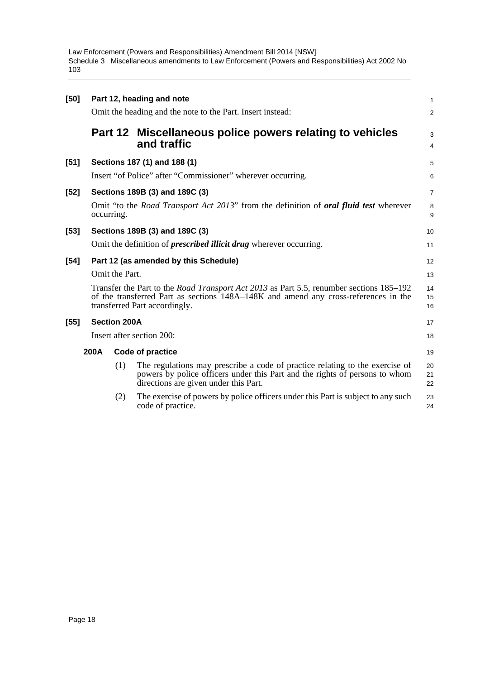| [50]   | Part 12, heading and note<br>Omit the heading and the note to the Part. Insert instead:                                                                                                                                |         |                                                                                                                                                                                                      |                     |  |  |
|--------|------------------------------------------------------------------------------------------------------------------------------------------------------------------------------------------------------------------------|---------|------------------------------------------------------------------------------------------------------------------------------------------------------------------------------------------------------|---------------------|--|--|
|        |                                                                                                                                                                                                                        |         |                                                                                                                                                                                                      | $\overline{c}$      |  |  |
|        |                                                                                                                                                                                                                        | Part 12 | Miscellaneous police powers relating to vehicles<br>and traffic                                                                                                                                      | 3<br>$\overline{4}$ |  |  |
| $[51]$ |                                                                                                                                                                                                                        |         | Sections 187 (1) and 188 (1)                                                                                                                                                                         | 5                   |  |  |
|        |                                                                                                                                                                                                                        |         | Insert "of Police" after "Commissioner" wherever occurring.                                                                                                                                          | 6                   |  |  |
| $[52]$ |                                                                                                                                                                                                                        |         | Sections 189B (3) and 189C (3)                                                                                                                                                                       | $\overline{7}$      |  |  |
|        | occurring.                                                                                                                                                                                                             |         | Omit "to the <i>Road Transport Act 2013</i> " from the definition of <b><i>oral fluid test</i></b> wherever                                                                                          | 8<br>9              |  |  |
| $[53]$ |                                                                                                                                                                                                                        |         | Sections 189B (3) and 189C (3)                                                                                                                                                                       | 10                  |  |  |
|        |                                                                                                                                                                                                                        |         | Omit the definition of <i>prescribed illicit drug</i> wherever occurring.                                                                                                                            | 11                  |  |  |
| $[54]$ | Part 12 (as amended by this Schedule)                                                                                                                                                                                  |         |                                                                                                                                                                                                      |                     |  |  |
|        | Omit the Part.                                                                                                                                                                                                         |         |                                                                                                                                                                                                      |                     |  |  |
|        | Transfer the Part to the <i>Road Transport Act 2013</i> as Part 5.5, renumber sections 185–192<br>of the transferred Part as sections 148A–148K and amend any cross-references in the<br>transferred Part accordingly. |         |                                                                                                                                                                                                      |                     |  |  |
| $[55]$ | <b>Section 200A</b>                                                                                                                                                                                                    |         |                                                                                                                                                                                                      |                     |  |  |
|        | Insert after section 200:                                                                                                                                                                                              |         |                                                                                                                                                                                                      |                     |  |  |
|        | 200A<br>Code of practice                                                                                                                                                                                               |         |                                                                                                                                                                                                      |                     |  |  |
|        |                                                                                                                                                                                                                        | (1)     | The regulations may prescribe a code of practice relating to the exercise of<br>powers by police officers under this Part and the rights of persons to whom<br>directions are given under this Part. | 20<br>21<br>22      |  |  |
|        |                                                                                                                                                                                                                        | (2)     | The exercise of powers by police officers under this Part is subject to any such<br>code of practice.                                                                                                | 23<br>24            |  |  |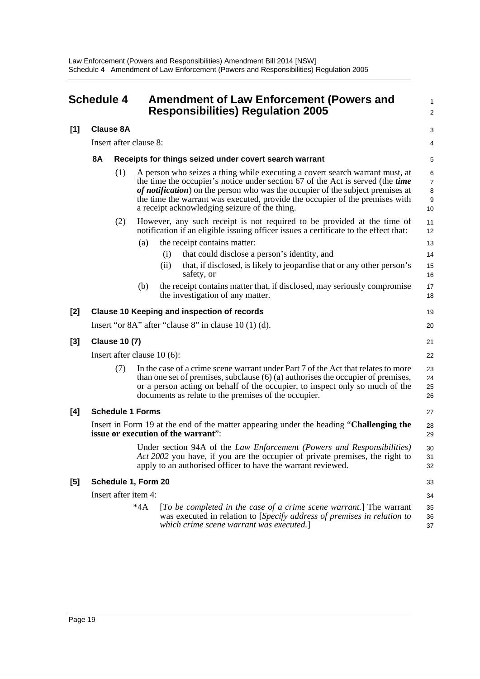<span id="page-24-0"></span>

| <b>Schedule 4</b> |                                                                                                                                |                  | <b>Amendment of Law Enforcement (Powers and</b><br><b>Responsibilities) Regulation 2005</b>                                                                                                                                                                                                                                                                                       |                                     |  |  |
|-------------------|--------------------------------------------------------------------------------------------------------------------------------|------------------|-----------------------------------------------------------------------------------------------------------------------------------------------------------------------------------------------------------------------------------------------------------------------------------------------------------------------------------------------------------------------------------|-------------------------------------|--|--|
| $[1]$             |                                                                                                                                | <b>Clause 8A</b> |                                                                                                                                                                                                                                                                                                                                                                                   | 3                                   |  |  |
|                   |                                                                                                                                |                  | Insert after clause 8:                                                                                                                                                                                                                                                                                                                                                            | 4                                   |  |  |
|                   | <b>8A</b>                                                                                                                      |                  | Receipts for things seized under covert search warrant                                                                                                                                                                                                                                                                                                                            | 5                                   |  |  |
|                   |                                                                                                                                | (1)              | A person who seizes a thing while executing a covert search warrant must, at<br>the time the occupier's notice under section 67 of the Act is served (the time<br>of notification) on the person who was the occupier of the subject premises at<br>the time the warrant was executed, provide the occupier of the premises with<br>a receipt acknowledging seizure of the thing. | 6<br>$\overline{7}$<br>8<br>9<br>10 |  |  |
|                   |                                                                                                                                | (2)              | However, any such receipt is not required to be provided at the time of<br>notification if an eligible issuing officer issues a certificate to the effect that:                                                                                                                                                                                                                   | 11<br>12                            |  |  |
|                   |                                                                                                                                |                  | the receipt contains matter:<br>(a)                                                                                                                                                                                                                                                                                                                                               | 13                                  |  |  |
|                   |                                                                                                                                |                  | that could disclose a person's identity, and<br>(i)                                                                                                                                                                                                                                                                                                                               | 14                                  |  |  |
|                   |                                                                                                                                |                  | (ii)<br>that, if disclosed, is likely to jeopardise that or any other person's<br>safety, or                                                                                                                                                                                                                                                                                      | 15<br>16                            |  |  |
|                   |                                                                                                                                |                  | the receipt contains matter that, if disclosed, may seriously compromise<br>(b)<br>the investigation of any matter.                                                                                                                                                                                                                                                               | 17<br>18                            |  |  |
| $[2]$             |                                                                                                                                |                  | <b>Clause 10 Keeping and inspection of records</b>                                                                                                                                                                                                                                                                                                                                | 19                                  |  |  |
|                   |                                                                                                                                |                  | Insert "or $8A$ " after "clause $8$ " in clause $10(1)(d)$ .                                                                                                                                                                                                                                                                                                                      | 20                                  |  |  |
| $[3]$             | <b>Clause 10 (7)</b>                                                                                                           |                  |                                                                                                                                                                                                                                                                                                                                                                                   |                                     |  |  |
|                   | Insert after clause $10(6)$ :                                                                                                  |                  |                                                                                                                                                                                                                                                                                                                                                                                   |                                     |  |  |
|                   |                                                                                                                                | (7)              | In the case of a crime scene warrant under Part 7 of the Act that relates to more<br>than one set of premises, subclause $(6)$ (a) authorises the occupier of premises,<br>or a person acting on behalf of the occupier, to inspect only so much of the<br>documents as relate to the premises of the occupier.                                                                   | 23<br>24<br>25<br>26                |  |  |
| [4]               | <b>Schedule 1 Forms</b>                                                                                                        |                  |                                                                                                                                                                                                                                                                                                                                                                                   |                                     |  |  |
|                   | Insert in Form 19 at the end of the matter appearing under the heading "Challenging the<br>issue or execution of the warrant": |                  |                                                                                                                                                                                                                                                                                                                                                                                   |                                     |  |  |
|                   |                                                                                                                                |                  | Under section 94A of the Law Enforcement (Powers and Responsibilities)<br>Act 2002 you have, if you are the occupier of private premises, the right to<br>apply to an authorised officer to have the warrant reviewed.                                                                                                                                                            | 30<br>31<br>32                      |  |  |
| [5]               | Schedule 1, Form 20                                                                                                            |                  |                                                                                                                                                                                                                                                                                                                                                                                   |                                     |  |  |
|                   |                                                                                                                                |                  | Insert after item 4:                                                                                                                                                                                                                                                                                                                                                              | 34                                  |  |  |
|                   |                                                                                                                                |                  | $*4A$<br>[To be completed in the case of a crime scene warrant.] The warrant<br>was executed in relation to [Specify address of premises in relation to<br>which crime scene warrant was executed.]                                                                                                                                                                               | 35<br>36<br>37                      |  |  |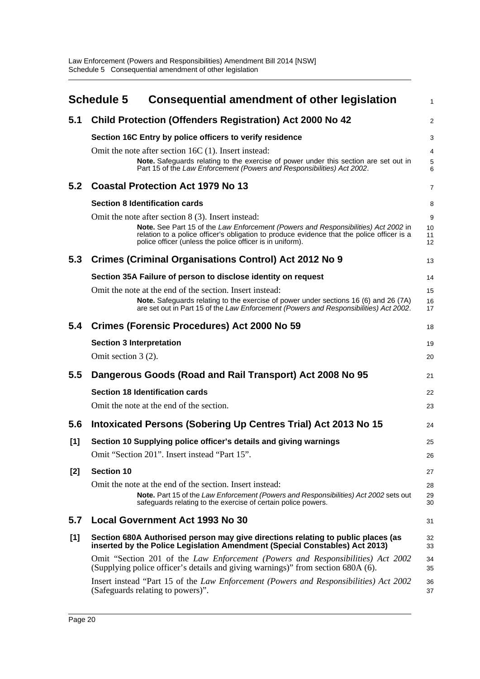<span id="page-25-0"></span>

|       | <b>Schedule 5</b><br><b>Consequential amendment of other legislation</b>                                                                                                                                                                      | 1              |
|-------|-----------------------------------------------------------------------------------------------------------------------------------------------------------------------------------------------------------------------------------------------|----------------|
| 5.1   | <b>Child Protection (Offenders Registration) Act 2000 No 42</b>                                                                                                                                                                               | $\overline{2}$ |
|       | Section 16C Entry by police officers to verify residence                                                                                                                                                                                      | 3              |
|       | Omit the note after section 16C (1). Insert instead:                                                                                                                                                                                          | $\overline{4}$ |
|       | Note. Safeguards relating to the exercise of power under this section are set out in<br>Part 15 of the Law Enforcement (Powers and Responsibilities) Act 2002.                                                                                | 5<br>6         |
| 5.2   | <b>Coastal Protection Act 1979 No 13</b>                                                                                                                                                                                                      | 7              |
|       | <b>Section 8 Identification cards</b>                                                                                                                                                                                                         | 8              |
|       | Omit the note after section 8 (3). Insert instead:                                                                                                                                                                                            | 9              |
|       | Note. See Part 15 of the Law Enforcement (Powers and Responsibilities) Act 2002 in<br>relation to a police officer's obligation to produce evidence that the police officer is a<br>police officer (unless the police officer is in uniform). | 10<br>11<br>12 |
| 5.3   | <b>Crimes (Criminal Organisations Control) Act 2012 No 9</b>                                                                                                                                                                                  | 13             |
|       | Section 35A Failure of person to disclose identity on request                                                                                                                                                                                 | 14             |
|       | Omit the note at the end of the section. Insert instead:                                                                                                                                                                                      | 15             |
|       | Note. Safeguards relating to the exercise of power under sections 16 (6) and 26 (7A)<br>are set out in Part 15 of the Law Enforcement (Powers and Responsibilities) Act 2002.                                                                 | 16<br>17       |
| 5.4   | Crimes (Forensic Procedures) Act 2000 No 59                                                                                                                                                                                                   | 18             |
|       | <b>Section 3 Interpretation</b>                                                                                                                                                                                                               | 19             |
|       | Omit section $3(2)$ .                                                                                                                                                                                                                         | 20             |
| 5.5   | Dangerous Goods (Road and Rail Transport) Act 2008 No 95                                                                                                                                                                                      | 21             |
|       | <b>Section 18 Identification cards</b>                                                                                                                                                                                                        | 22             |
|       | Omit the note at the end of the section.                                                                                                                                                                                                      | 23             |
| 5.6   | Intoxicated Persons (Sobering Up Centres Trial) Act 2013 No 15                                                                                                                                                                                | 24             |
| [1]   | Section 10 Supplying police officer's details and giving warnings                                                                                                                                                                             | 25             |
|       | Omit "Section 201". Insert instead "Part 15".                                                                                                                                                                                                 | 26             |
| $[2]$ | <b>Section 10</b>                                                                                                                                                                                                                             | 27             |
|       | Omit the note at the end of the section. Insert instead:                                                                                                                                                                                      | 28             |
|       | Note. Part 15 of the Law Enforcement (Powers and Responsibilities) Act 2002 sets out<br>safeguards relating to the exercise of certain police powers.                                                                                         | 29<br>30       |
| 5.7   | <b>Local Government Act 1993 No 30</b>                                                                                                                                                                                                        | 31             |
| [1]   | Section 680A Authorised person may give directions relating to public places (as<br>inserted by the Police Legislation Amendment (Special Constables) Act 2013)                                                                               | 32<br>33       |
|       | Omit "Section 201 of the Law Enforcement (Powers and Responsibilities) Act 2002<br>(Supplying police officer's details and giving warnings)" from section 680A (6).                                                                           | 34<br>35       |
|       | Insert instead "Part 15 of the Law Enforcement (Powers and Responsibilities) Act 2002<br>(Safeguards relating to powers)".                                                                                                                    | 36<br>37       |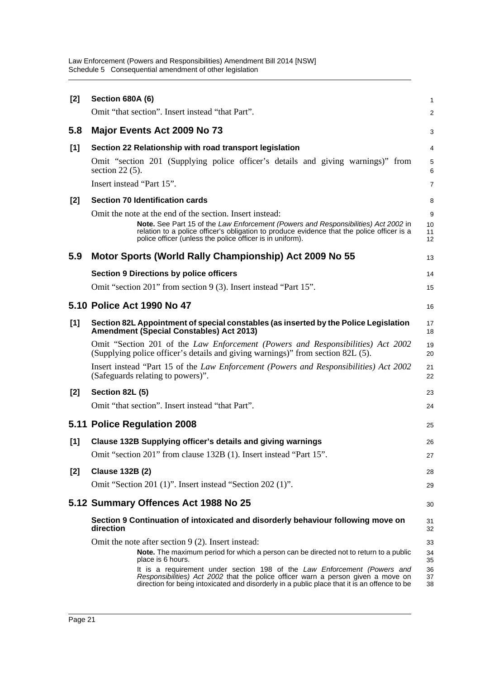| [2]   | <b>Section 680A (6)</b>                                                                                                                                                                                                                                                                                                                 | 1                          |
|-------|-----------------------------------------------------------------------------------------------------------------------------------------------------------------------------------------------------------------------------------------------------------------------------------------------------------------------------------------|----------------------------|
|       | Omit "that section". Insert instead "that Part".                                                                                                                                                                                                                                                                                        | 2                          |
| 5.8   | Major Events Act 2009 No 73                                                                                                                                                                                                                                                                                                             | 3                          |
| [1]   | Section 22 Relationship with road transport legislation                                                                                                                                                                                                                                                                                 | 4                          |
|       | Omit "section 201 (Supplying police officer's details and giving warnings)" from<br>section $22(5)$ .                                                                                                                                                                                                                                   | 5<br>6                     |
|       | Insert instead "Part 15".                                                                                                                                                                                                                                                                                                               | 7                          |
| [2]   | <b>Section 70 Identification cards</b>                                                                                                                                                                                                                                                                                                  | 8                          |
|       | Omit the note at the end of the section. Insert instead:<br>Note. See Part 15 of the Law Enforcement (Powers and Responsibilities) Act 2002 in<br>relation to a police officer's obligation to produce evidence that the police officer is a<br>police officer (unless the police officer is in uniform).                               | 9<br>10<br>11<br>12        |
| 5.9   | Motor Sports (World Rally Championship) Act 2009 No 55                                                                                                                                                                                                                                                                                  | 13                         |
|       | <b>Section 9 Directions by police officers</b>                                                                                                                                                                                                                                                                                          | 14                         |
|       | Omit "section 201" from section 9 (3). Insert instead "Part 15".                                                                                                                                                                                                                                                                        | 15                         |
|       | 5.10 Police Act 1990 No 47                                                                                                                                                                                                                                                                                                              | 16                         |
| $[1]$ | Section 82L Appointment of special constables (as inserted by the Police Legislation<br><b>Amendment (Special Constables) Act 2013)</b>                                                                                                                                                                                                 | 17<br>18                   |
|       | Omit "Section 201 of the Law Enforcement (Powers and Responsibilities) Act 2002<br>(Supplying police officer's details and giving warnings)" from section 82L (5).                                                                                                                                                                      | 19<br>20                   |
|       | Insert instead "Part 15 of the Law Enforcement (Powers and Responsibilities) Act 2002<br>(Safeguards relating to powers)".                                                                                                                                                                                                              | 21<br>22                   |
| [2]   | Section 82L (5)                                                                                                                                                                                                                                                                                                                         | 23                         |
|       | Omit "that section". Insert instead "that Part".                                                                                                                                                                                                                                                                                        | 24                         |
|       | 5.11 Police Regulation 2008                                                                                                                                                                                                                                                                                                             | 25                         |
| [1]   | Clause 132B Supplying officer's details and giving warnings                                                                                                                                                                                                                                                                             | 26                         |
|       | Omit "section 201" from clause 132B (1). Insert instead "Part 15".                                                                                                                                                                                                                                                                      | $\mathbf{Z}$               |
| [2]   | <b>Clause 132B (2)</b>                                                                                                                                                                                                                                                                                                                  | 28                         |
|       | Omit "Section 201 (1)". Insert instead "Section 202 (1)".                                                                                                                                                                                                                                                                               | 29                         |
|       | 5.12 Summary Offences Act 1988 No 25                                                                                                                                                                                                                                                                                                    | 30                         |
|       | Section 9 Continuation of intoxicated and disorderly behaviour following move on<br>direction                                                                                                                                                                                                                                           | 31<br>32                   |
|       | Omit the note after section 9 (2). Insert instead:<br><b>Note.</b> The maximum period for which a person can be directed not to return to a public<br>place is 6 hours.<br>It is a requirement under section 198 of the Law Enforcement (Powers and<br>Responsibilities) Act 2002 that the police officer warn a person given a move on | 33<br>34<br>35<br>36<br>37 |
|       | direction for being intoxicated and disorderly in a public place that it is an offence to be                                                                                                                                                                                                                                            | 38                         |